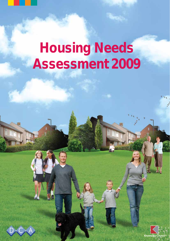# **Housing Needs Assessment 2009**



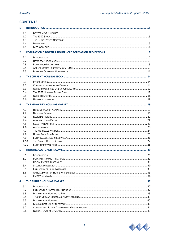|                         | <b>CONTENTS</b> |  |
|-------------------------|-----------------|--|
| 1                       |                 |  |
|                         | 1.1             |  |
|                         | 1.2             |  |
|                         | 1.3             |  |
|                         | 1.4             |  |
|                         | 1.5             |  |
| $\overline{2}$          |                 |  |
|                         | 2.1             |  |
|                         | 2.2             |  |
|                         | 2.3             |  |
|                         | 2.4             |  |
|                         | 2.5             |  |
| $\overline{\mathbf{3}}$ |                 |  |
|                         | 3.1             |  |
|                         | 3.2             |  |
|                         | 3.3             |  |
|                         | 3.4             |  |
|                         | 3.5             |  |
|                         | 3.6             |  |
| 4                       |                 |  |
|                         |                 |  |
|                         | 4.1             |  |
|                         | 4.2             |  |
|                         | 4.3             |  |
|                         | 4.4             |  |
|                         | 4.5             |  |
|                         | 4.6             |  |
|                         | 4.7             |  |
|                         | 4.8             |  |
|                         | 4.9             |  |
|                         | 4.10            |  |
|                         | 4.11            |  |
| 5                       |                 |  |
|                         | 5.1             |  |
|                         | 5.2             |  |
|                         | 5.3             |  |
|                         | 5.4             |  |
|                         | 5.5             |  |
|                         | 5.6             |  |
|                         | 5.7             |  |
| 6                       |                 |  |
|                         | 6.1             |  |
|                         | 6.2             |  |
|                         | 6.3             |  |
|                         | 6.4             |  |
|                         | 6.5             |  |
|                         | 6.6             |  |
|                         | 6.7             |  |
|                         | 6.8             |  |

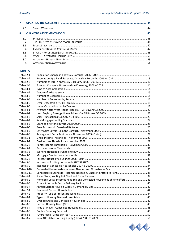| 7.1 |                                        |  |
|-----|----------------------------------------|--|
|     |                                        |  |
| 8.1 |                                        |  |
|     |                                        |  |
|     |                                        |  |
|     |                                        |  |
|     |                                        |  |
|     |                                        |  |
|     |                                        |  |
| 8.8 |                                        |  |
|     | 8.2<br>8.3<br>8.4<br>8.5<br>8.6<br>8.7 |  |

#### **TABLES**

| Table 2-1  |                                                                             |  |
|------------|-----------------------------------------------------------------------------|--|
| Table 2-2  |                                                                             |  |
| Table 2-3  |                                                                             |  |
| Table 2-4  |                                                                             |  |
| Table 3-1  |                                                                             |  |
| Table 3-2  |                                                                             |  |
| Table 3-3  |                                                                             |  |
| Table 3-4  |                                                                             |  |
| Table 3-5  |                                                                             |  |
| Table 3-6  |                                                                             |  |
| Table 4-1  |                                                                             |  |
| Table 4-2  |                                                                             |  |
| Table 4-3  |                                                                             |  |
| Table 4-4  |                                                                             |  |
| Table 4-5  |                                                                             |  |
| Table 4-6  |                                                                             |  |
| Table 4-7  |                                                                             |  |
| Table 4-8  |                                                                             |  |
| Table 5-1  |                                                                             |  |
| Table 5-2  |                                                                             |  |
| Table 5-3  |                                                                             |  |
| Table 5-4  |                                                                             |  |
| Table 5-5  |                                                                             |  |
| Table 5-6  |                                                                             |  |
| Table 5-7  |                                                                             |  |
| Table 5-8  |                                                                             |  |
| Table 5-9  |                                                                             |  |
| Table 5-10 |                                                                             |  |
| Table 5-11 |                                                                             |  |
| Table 6-1  |                                                                             |  |
| Table 6-2  | HomeBuy Costs, Incomes Required and Concealed Households able to afford  39 |  |
| Table 6-3  |                                                                             |  |
| Table 6-4  |                                                                             |  |
| Table 7-1  |                                                                             |  |
| Table 7-2  |                                                                             |  |
| Table 8-1  |                                                                             |  |
| Table 8-2  |                                                                             |  |
| Table 8-3  |                                                                             |  |
| Table 8-4  |                                                                             |  |
| Table 8-5  |                                                                             |  |
| Table 8-6  |                                                                             |  |
| Table 8-7  |                                                                             |  |

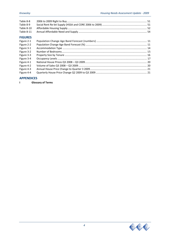| Table 8-8  |  |
|------------|--|
| Table 8-9  |  |
| Table 8-10 |  |
|            |  |
|            |  |

#### **FIGURES**

| Figure 2-1 |  |
|------------|--|
| Figure 2-2 |  |
| Figure 3-1 |  |
| Figure 3-2 |  |
| Figure 3-3 |  |
| Figure 3-4 |  |
| Figure 4-1 |  |
| Figure 4-2 |  |
| Figure 4-3 |  |
| Figure 4-4 |  |
|            |  |

#### **APPENDICES**

**I Glossary of Terms**

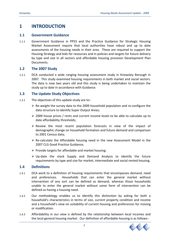# **1 INTRODUCTION**

#### **1.1 Government Guidance**

1.1.1 Government Guidance in PPS3 and the Practice Guidance for Strategic Housing Market Assessment require that local authorities have robust and up to date assessments of the housing needs in their area. These are required to support the Housing Strategy and bids for resources and in policies and targets for future delivery by type and size in all sectors and affordable housing provision Development Plan Documents.

#### **1.2 The 2007 Study**

1.2.1 DCA conducted a wide ranging housing assessment study in Knowsley Borough in 2007. This study examined housing requirements in both market and social sectors. The data is now two years old and this study is being undertaken to maintain the study up to date in accordance with Guidance.

#### **1.3 The Update Study Objectives**

- 1.3.1 The objectives of this update study are to:‐
	- $\triangleright$  Re-weight the survey data to the 2009 household population and re-configure the data structure to identify Super Output Areas;
	- $\geq$  2009 house prices / rents and current income levels to be able to calculate up to date affordability thresholds;
	- $\triangleright$  Review the most recent population forecasts in view of the impact of demographic change on household formation and future demand and comparison to 2001 Census data;
	- $\triangleright$  Re-calculate the Affordable housing need in the new Assessment Model in the 2007 CLG Good Practice Guidance;
	- $\triangleright$  Provide targets for affordable and market housing:
	- $\triangleright$  Up-date the stock Supply and Demand Analysis to identify the future requirements by type and size for market, intermediate and social rented housing.

#### **1.4 Definitions**

- 1.4.1 DCA work to a definition of housing requirements that encompasses demand, need and preferences. Households that can enter the general market without intervention of any sort can be defined as demand, whereas those households unable to enter the general market without some form of intervention can be defined as having a housing need.
- 1.4.2 Our methodology enables us to identify this distinction by asking for both a household's characteristics in terms of size, current property condition and income and a household's view on suitability of current housing and preferences for moving or modification.
- 1.4.3 Affordability in our view is defined by the relationship between local incomes and the local general housing market. Our definition of affordable housing is as follows:‐

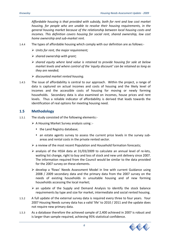*Affordable housing is that provided with subsidy, both for rent and low cost market housing, for people who are unable to resolve their housing requirements, in the general housing market because of the relationship between local housing costs and incomes. This definition covers housing for social rent, shared ownership, low cost home ownership and sub‐market rent.*

- 1.4.4 The types of affordable housing which comply with our definition are as follows:‐
	- ¾ *Units for rent, the major requirement;*
	- ¾ *shared ownership with grant;*
	- ¾ *shared equity where land value is retained to provide housing for sale at below market levels and where control of the 'equity discount' can be retained as long as they are needed;*
	- ¾ *discounted market rented housing.*
- 1.4.5 The issue of affordability is central to our approach. Within the project, a range of data is captured on actual incomes and costs of housing and the likely level of incomes and the accessible costs of housing for moving or newly forming households. Secondary data is also examined on incomes, house prices and rent levels. Thus a reliable indicator of affordability is derived that leads towards the identification of real options for meeting housing need.

#### **1.5 Methodology**

- 1.5.1 The study consisted of the following elements:‐
	- ¾ A Housing Market Survey analysis using :‐
		- the Land Registry database;
		- an estate agents survey to assess the current price levels in the survey subareas and rental costs in the private rented sector.
	- $\triangleright$  a review of the most recent Population and Household formation forecasts;
	- ¾ analysis of the HSSA data at 31/03/2009 to calculate an annual level of re‐lets, waiting list change, right to buy and loss of stock and new unit delivery since 2007. The information required from the Council would be similar to the data provided for the 2007 survey on these elements.
	- ¾ develop a 'flows' Needs Assessment Model in line with current Guidance using 2008 / 2009 secondary data and the primary data from the 2007 survey on the needs of existing households in unsuitable housing and of new forming households accessing the local market;
	- $\triangleright$  an update of the Supply and Demand Analysis to identify the stock balance requirements by type and size for market, intermediate and social rented housing.
- 1.5.2 A full update of the external survey data is required every three to four years. Your 2007 Housing Needs survey data has a valid 'life' to 2010 / 2011 and the update does not require new primary data.
- 1.5.3 As a database therefore the achieved sample of 2,400 achieved in 2007 is robust and is larger than sample required, achieving 95% statistical confidence.

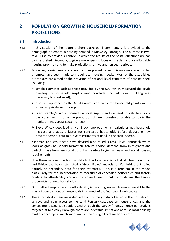# **2 POPULATION GROWTH & HOUSEHOLD FORMATION PROJECTIONS**

#### **2.1 Introduction**

- 2.1.1 In this section of the report a short background commentary is provided to the demographic element in housing demand in Knowsley Borough. The purpose is two‐ fold. First, to provide a context in which the results of the postal questionnaire can be interpreted. Secondly, to give a more specific focus on the demand for affordable housing provision and to make projections for five and ten year periods.
- 2.1.2 Modelling housing needs is a very complex procedure and it is only very recently that attempts have been made to model local housing needs. Most of the established procedures are aimed at the provision of national level estimates of housing need, including:‐
	- $\triangleright$  simple estimates such as those provided by the CLG, which measured the crude dwelling to household surplus (and concluded no additional building was necessary to meet need);
	- $\triangleright$  a second approach by the Audit Commission measured household growth minus expected private sector output;
	- $\triangleright$  Glen Bramley's work focused on local supply and demand to calculate for a particular point in time the proportion of new households unable to buy in the market (minus social sector re‐lets);
	- ¾ Steve Wilcox described a 'Net Stock' approach which calculates net household increase and adds a factor for concealed households before deducting new private sector output to arrive at estimates of need in the social sector.
- 2.1.3 Kleinman and Whitehead have devised a so‐called 'Gross Flows' approach which looks at gross household formation, tenure choice, demand from in-migrants and deducts these from new social output and re‐lets to yield a measure of social housing requirements.
- 2.1.4 How these national models translate to the local level is not at all clear. Kleinman and Whitehead have attempted a 'Gross Flows' analysis for Cambridge but relied entirely on secondary data for their estimates. This is a problem in the model particularly for the incorporation of measures of concealed households and factors relating to affordability are not considered directly but by modelling the tenure propensities of new households.
- 2.1.5 Our method emphasises the affordability issue and gives much greater weight to the issue of concealment of households than most of the 'national' level studies.
- 2.1.6 The affordability measure is derived from primary data collected in the household's surveys and from access to the Land Registry database on house prices and the concealment issue is also addressed through the survey findings. Since our study is targeted at Knowsley Borough, there are inevitable limitations because local housing markets encompass much wider areas than a single Local Authority area.

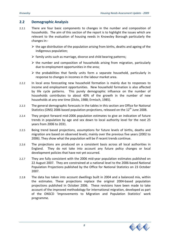#### **2.2 Demographic Analysis**

- 2.2.1 There are four basic components to changes in the number and composition of households. The aim of this section of the report is to highlight the issues which are relevant to the evaluation of housing needs in Knowsley Borough particularly the changes in:‐
	- $\triangleright$  the age distribution of the population arising from births, deaths and ageing of the indigenous population;
	- $\triangleright$  family units such as marriage, divorce and child bearing patterns;
	- $\triangleright$  the number and composition of households arising from migration, particularly due to employment opportunities in the area;
	- $\triangleright$  the probabilities that family units form a separate household, particularly in response to changes in incomes in the labour market area.
- 2.2.2 In local area forecasting new household formation is mainly due to responses to income and employment opportunities. New household formation is also affected by life cycle patterns. This purely demographic influence on the number of households contributes to about 40% of the growth in the number of new households at any one time (Dicks, 1988; Ermisch, 1985).
- 2.2.3 The general demographic forecasts in the tables in this section are Office for National Statistics (ONS) 2006 based population projections, released on the  $12<sup>th</sup>$  June 2008.
- 2.2.4 They project forward mid‐2006 population estimates to give an indication of future trends in population by age and sex down to local authority level for the next 25 years from 2006 to 2031.
- 2.2.5 Being trend based projections, assumptions for future levels of births, deaths and migration are based on observed levels; mainly over the previous five years (2002 to 2006). They show what the population will be if recent trends continue.
- 2.2.6 The projections are produced on a consistent basis across all local authorities in England. They do not take into account any future policy changes or local development policies that have not yet occurred.
- 2.2.7 They are fully consistent with the 2006 mid-year population estimates published on 22 August 2007. They are constrained at a national level to the 2006‐based National Population Projections published by the Office for National Statistics on 23 October 2007.
- 2.2.8 The data has taken into account dwellings built in 2004 and a balanced mix, within the estimates. These projections replace the original 2004‐based population projections published in October 2006. These revisions have been made to take account of the improved methodology for international migration, developed as part of the ONSCD 'Improvements to Migration and Population Statistics' work programme.

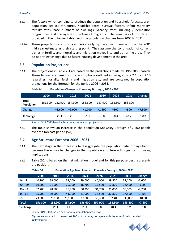- 2.2.9 The factors which combine to produce the population and household forecasts are:‐ population age‐sex structures, headship rates, survival factors, infant mortality, fertility rates, base numbers of dwellings, vacancy rates, building / demolition programmes and the age‐sex structure of migrants. The summary of this data is provided in the following tables with the population changes from 2006 to 2031.
- 2.2.10 These projections are produced periodically by the Government and use the 2001 mid year estimate as their starting point. They assume the continuation of current trends in fertility and mortality and migration moves into and out of the area. They do not reflect change due to future housing development in the area.

#### **2.3 Population Projections**

2.3.1 The projections in Table 2‐1 are based on the predictions made by ONS (2006‐based). These figures are based on the assumptions outlined in paragraphs 2.2.1 to 2.2.10 regarding mortality, fertility and migration etc, and are contained in population projections for the Borough for the period 2006 – 2031.

|                                   | 2006    | 2011     | 2016     | 2021     | 2026     | 2029    | 2031    | Change   |
|-----------------------------------|---------|----------|----------|----------|----------|---------|---------|----------|
| <b>Total</b><br><b>Population</b> | 151.300 | 152,900  | 154,900  | 156,600  | 157,900  | 158.500 | 158.800 |          |
| Change                            |         | $+1,600$ | $+2.000$ | $+1,700$ | $+1,300$ | $+600$  | $+300$  | $+7,500$ |
| % Change                          |         | $+1.1$   | $+1.3$   | $+1.1$   | $+0.8$   | $+0.4$  | $+0.2$  | $+5.0%$  |

**Table 2‐1 Population Change in Knowsley Borough, 2006 ‐ 2031**

Source: ONS 2006‐based sub‐national population projections

2.3.2 The table shows an increase in the population Knowsley Borough of 7,500 people over the forecast period (5%).

#### **2.4 Age Structure Forecast 2006 ‐ 2031**

- 2.4.1 The next stage in the forecast is to disaggregate the population data into age bands because there may be changes in the population structure with significant housing implications.
- 2.4.2 Table 2‐2 is based on the net migration model and for this purpose best represents the position.

**Table 2‐2 Population Age Band Forecast, Knowsley Borough, 2006 – 2031**

|           | 2006    | 2011    | 2016    | 2021    | 2026    | 2029    | 2031    | <b>Change</b> |
|-----------|---------|---------|---------|---------|---------|---------|---------|---------------|
| $0 - 19$  | 40,700  | 39,000  | 38,700  | 39,600  | 40,000  | 39,500  | 39,100  | $-1,600$      |
| $20 - 29$ | 19,000  | 21,900  | 20,900  | 18,700  | 17,500  | 17,800  | 18,400  | $-600$        |
| $30 - 44$ | 32,700  | 28,900  | 28,200  | 30,300  | 31,700  | 31,000  | 30,000  | $-2,700$      |
| $45 - 64$ | 35,900  | 39,900  | 41,900  | 41,000  | 38,500  | 37,800  | 37,500  | $+1,600$      |
| $65+$     | 23,000  | 23,100  | 25,100  | 27,000  | 30,300  | 32,400  | 33,800  | $+10,800$     |
| Total     | 151,300 | 152,900 | 154,900 | 156,600 | 157,900 | 158,500 | 158,800 | $+7,500$      |
| % Change  |         | $+1.1$  | $+1.3$  | $+1.1$  | $+0.8$  | $+0.4$  | $+0.2$  | $+5.0$        |

Source: ONS 2006‐based sub‐national population projections

Figures are rounded to the nearest 100 so totals may not agree with the sum of their rounded counterparts.

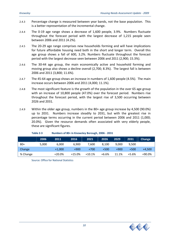- 2.4.3 Percentage change is measured between year bands, not the base population. This is a better representation of the incremental change.
- 2.4.4 The 0-19 age range shows a decrease of 1,600 people, 3.9%. Numbers fluctuate throughout the forecast period with the largest decrease of 1,215 people seen between 2006 and 2011 (4.2%).
- 2.4.5 The 20‐29 age range comprises new households forming and will have implications for future affordable housing need both in the short and longer term. Overall this age group shows a fall of 600, 3.2%. Numbers fluctuate throughout the forecast period with the largest decrease seen between 2006 and 2011 (2,900; 15.3%).
- 2.4.6 The 30‐44 age group, the main economically active and household forming and moving group also shows a decline overall (2,700; 8.3%). The largest fall is between 2006 and 2011 (3,800; 11.6%).
- 2.4.7 The 45‐64 age group shows an increase in numbers of 1,600 people (4.5%). The main increase occurs between 2006 and 2011 (4,000; 11.1%).
- 2.4.8 The most significant feature is the growth of the population in the over 65 age group with an increase of 10,800 people (47.0%) over the forecast period. Numbers rise throughout the forecast period, with the largest rise of 3,500 occurring between 2026 and 2031.
- 2.4.9 Within the older age group, numbers in the 80+ age group increase by 4,500 (90.0%) up to 2031. Numbers increase steadily to 2031, but with the greatest rise in percentage terms occurring in the current period between 2006 and 2011 (1,000; 20.0%). Given the resource demands often associated with very elderly people, these are significant figures.

|          | 2006  | 2011     | 2016     | 2021     | 2026    | 2029   | 2031    | Change   |
|----------|-------|----------|----------|----------|---------|--------|---------|----------|
| $80+$    | 5,000 | 6,000    | 6.900    | 7.600    | 8.100   | 9.000  | 9,500   |          |
| Change   |       | $+1,000$ | $+900$   | $+700$   | $+500$  | $+900$ | $+500$  | $+4.500$ |
| % Change |       | $+20.0%$ | $+15.0%$ | $+10.1%$ | $+6.6%$ | 11.1%  | $+5.6%$ | +90.0%   |

#### **Table 2‐3 Numbers of 80+ in Knowsley Borough, 2006 ‐ 2031**

Source: Office for National Statistics

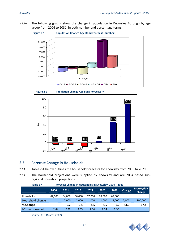#### 2.4.10 The following graphs show the change in population in Knowsley Borough by age group from 2006 to 2031, in both number and percentage terms.







#### **2.5 Forecast Change in Households**

- 2.5.1 Table 2‐4 below outlines the household forecasts for Knowsley from 2006 to 2029.
- 2.5.2 The household projections were supplied by Knowsley and are 2004 based sub‐ regional household projections.

| Table 2-4<br>Forecast Change in Households in Knowsley, 2006 - 2029 |        |        |        |        |        |        |        |                             |
|---------------------------------------------------------------------|--------|--------|--------|--------|--------|--------|--------|-----------------------------|
|                                                                     | 2006   | 2011   | 2016   | 2021   | 2026   | 2029   | Change | <b>Merseyside</b><br>Change |
| Households                                                          | 62,000 | 64.000 | 66.000 | 67.000 | 68,000 | 69.000 |        |                             |
| Household change                                                    |        | 2,000  | 2,000  | 1,000  | 1,000  | 1.000  | 7.000  | 100,000                     |
| % Change                                                            |        | 3.2    | 3.1    | 1.5    | 1.5    | 1.5    | 11.3   | 17.2                        |
| N <sup>os</sup><br>per household                                    | 2.44   | 2.39   | 2.35   | 2.34   | 2.34   | 2.30   |        |                             |

Source: CLG (March 2007)

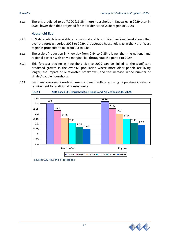2.5.3 There is predicted to be 7,000 (11.3%) more households in Knowsley in 2029 than in 2006, lower than that projected for the wider Merseyside region of 17.2%.

#### **Household Size**

- 2.5.4 CLG data which is available at a national and North West regional level shows that over the forecast period 2006 to 2029, the average household size in the North West region is projected to fall from 2.3 to 2.05.
- 2.5.5 The scale of reduction in Knowsley from 2.44 to 2.35 is lower than the national and regional pattern with only a marginal fall throughout the period to 2029.
- 2.5.6 This forecast decline in household size to 2029 can be linked to the significant predicted growth in the over 65 population where more older people are living longer; the impact of relationship breakdown, and the increase in the number of single / couple households.
- 2.5.7 Declining average household size combined with a growing population creates a requirement for additional housing units.



**Fig. 2‐1 2004 Based CLG Household Size Trends and Projections (2006‐2029)**

Source: CLG Household Projections

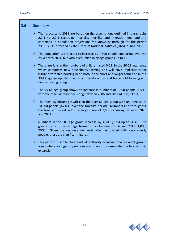#### **2.6 Summary**

- $\triangleright$  The forecasts to 2031 are based on the assumptions outlined in paragraphs 2.2.1 to 2.2.3 regarding mortality, fertility and migration etc, and are contained in population projections for Knowsley Borough for the period 2006 ‐ 2031 provided by the Office of National Statistics (ONS) in June 2008.
- $\triangleright$  The population is projected to increase by 7,500 people, increasing over the 25 years to 2031, but with a reduction in all age groups up to 45.
- $▶$  There are falls in the numbers of children aged 0-19, in the 20-29 age range which comprises new households forming and will have implications for future affordable housing need both in the short and longer term and in the 30‐44 age group, the main economically active and household forming and family moving group.
- $▶$  The 45-64 age group shows an increase in numbers of 1,600 people (4.5%), with the main increase occurring between 2006 and 2011 (4,000; 11.1%).
- $\triangleright$  The most significant growth is in the over 65 age group with an increase of 10,800 people (47.0%) over the forecast period. Numbers rise throughout the forecast period, with the largest rise of 3,500 occurring between 2026 and 2031.
- $\triangleright$  Numbers in the 80+ age group increase by 4,500 (90%) up to 2031. The greatest rise in percentage terms occurs between 2006 and 2011 (1,000; 20%). Given the resource demands often associated with very elderly people, these are significant figures.
- $\triangleright$  This pattern is similar to almost all authority areas nationally except growth areas where younger populations are forecast to in‐migrate due to economic expansion.

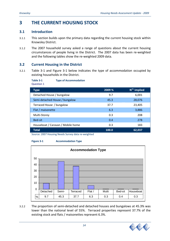# **3 THE CURRENT HOUSING STOCK**

## **3.1 Introduction**

- 3.1.1 This section builds upon the primary data regarding the current housing stock within Knowsley District.
- 3.1.2 The 2007 household survey asked a range of questions about the current housing circumstances of people living in the District. The 2007 data has been re‐weighted and the following tables show the re‐weighted 2009 data.

## **3.2 Current Housing in the District**

**Table 3‐1 Type of Accommodation**

3.2.1 Table 3‐1 and Figure 3‐1 below indicates the type of accommodation occupied by existing households in the District.

| <b>Question 1</b>                 |        |                          |  |  |  |  |
|-----------------------------------|--------|--------------------------|--|--|--|--|
| <b>Type</b>                       | 2009 % | N <sup>os.</sup> implied |  |  |  |  |
| Detached House / bungalow         | 9.7    | 6,001                    |  |  |  |  |
| Semi-detached House / bungalow    | 45.3   | 28,076                   |  |  |  |  |
| Terraced House / bungalow         | 37.7   | 23,405                   |  |  |  |  |
| Flat / maisonette                 | 6.3    | 3,886                    |  |  |  |  |
| Multi-Storey                      | 0.3    | 208                      |  |  |  |  |
| Bed-sit                           | 0.4    | 278                      |  |  |  |  |
| Houseboat / Caravan / Mobile home | 0.3    | 183                      |  |  |  |  |
| <b>Total</b>                      | 100.0  | 62,037                   |  |  |  |  |

Source: 2007 Housing Needs Survey data re‐weighted



**Figure 3‐1 Accommodation Type** 



3.2.2 The proportion of semi‐detached and detached houses and bungalows at 45.3% was lower than the national level of 55%. Terraced properties represent 37.7% of the existing stock and flats / maisonettes represent 6.3%.

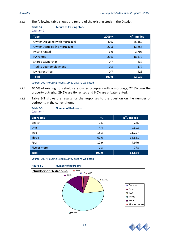#### 3.2.3 The following table shows the tenure of the existing stock in the District.

**Table 3‐2 Tenure of Existing Stock** Question 2

| <b>Type</b>                         | 2009 % | N <sup>os.</sup> implied |
|-------------------------------------|--------|--------------------------|
| Owner Occupied (with mortgage)      | 40.5   | 25,162                   |
| <b>Owner Occupied (no mortgage)</b> | 22.3   | 13,858                   |
| Private rented                      | 6.0    | 3,703                    |
| <b>HA</b> rented                    | 29.5   | 18,277                   |
| <b>Shared Ownership</b>             | 0.7    | 437                      |
| Tied to your employment             | 0.3    | 177                      |
| Living rent free                    | 0.7    | 423                      |
| <b>Total</b>                        | 100.0  | 62,037                   |

Source: 2007 Housing Needs Survey data re‐weighted

- 3.2.4 40.6% of existing households are owner occupiers with a mortgage, 22.3% own the property outright. 29.5% are HA rented and 6.0% are private rented.
- 3.2.5 Table 3‐3 shows the results for the responses to the question on the number of bedrooms in the current home.

| Table 3-3<br><b>Question 4</b> | <b>Number of Bedrooms</b> |       |                 |
|--------------------------------|---------------------------|-------|-----------------|
| <b>Bedrooms</b>                |                           | %     | $Nos$ . implied |
| Bed-sit                        |                           | 0.5   | 285             |
| One                            |                           | 4.4   | 2,693           |
| Two                            |                           | 18.3  | 11,297          |
| <b>Three</b>                   |                           | 62.6  | 38,861          |
| Four                           |                           | 12.9  | 7,970           |
| Five or more                   |                           | 1.3   | 778             |
| <b>Total</b>                   |                           | 100.0 | 61,884          |

Source: 2007 Housing Needs Survey data re‐weighted



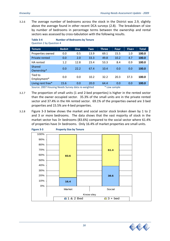3.2.6 The average number of bedrooms across the stock in the District was 2.9, slightly above the average found in other recent DCA surveys (2.8). The breakdown of size by number of bedrooms in percentage terms between the ownership and rental sectors was assessed by cross-tabulation with the following results.

| <b>Bedsit</b> | <b>One</b> | <b>Two</b> | <b>Three</b>                                       | <b>Four</b> | Five+ | <b>Total</b>  |
|---------------|------------|------------|----------------------------------------------------|-------------|-------|---------------|
| 0.0           | 0.5        | 13.9       | 69.1                                               | 15.5        | 1.0   | 100.0         |
| 0.0           | 2.0        | 33.3       | 49.8                                               | 10.2        | 4.7   | 100.0         |
| 1.2           | 12.8       | 23.4       | 53.3                                               | 8.4         | 0.9   | 100.0         |
| 0.0           | 22.2       | 67.4       | 10.4                                               | 0.0         | 0.0   | 100.0         |
| 0.0           | 0.0        | 10.2       | 32.2                                               | 20.3        | 37.3  | 100.0         |
| 15.6          | 0.0        | 20.0       | 64.4                                               | 0.0         | 0.0   | 100.0         |
|               |            |            | Course: 2007 Housing Needs Survey data so weighted |             |       | $*$ Lowcample |

#### **Table 3‐4 Number of Bedrooms by Tenure** Question 2 by Question 4

Source: 2007 Housing Needs Survey data re‐weighted \* Low sample

- 3.2.7 The proportion of small units (1 and 2‐bed properties) is higher in the rented sector than the owner occupied sector. 35.3% of the small units are in the private rented sector and 37.4% in the HA rented sector. 69.1% of the properties owned are 3 bed properties and 15.5% are 4‐bed properties.
- 3.2.8 Figure 3‐3 below shows the market and social sector stock broken down by 1 to 2 and 3 or more bedrooms. The data shows that the vast majority of stock in the market sector has 3+ bedrooms (83.6%) compared to the social sector where 61.4% of properties have 3+ bedrooms. Only 16.4% of market properties are small units.



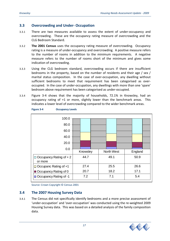#### **3.3 Overcrowding and Under‐ Occupation**

- 3.3.1 There are two measures available to assess the extent of under‐occupancy and overcrowding. These are the occupancy rating measure of overcrowding and the CLG Bedroom Standard.
- 3.3.2 **The 2001 Census** uses the occupancy rating measure of overcrowding. Occupancy rating is a measure of under‐occupancy and overcrowding. A positive measure refers to the number of rooms in addition to the minimum requirements. A negative measure refers to the number of rooms short of the minimum and gives some indication of overcrowding.
- 3.3.3 Using the CLG bedroom standard, overcrowding occurs if there are insufficient bedrooms in the property, based on the number of residents and their age / sex / marital status composition. In the case of over-occupation, any dwelling without sufficient bedrooms to meet that requirement has been categorised as over‐ occupied. In the case of under‐occupation, any dwellings with more than one 'spare' bedroom above requirement has been categorised as under‐occupied.
- 3.3.4 Figure 3‐4 shows that the majority of households, 72.1% in Knowsley, had an occupancy rating of +1 or more, slightly lower than the benchmark areas. This indicates a lower level of overcrowding compared to the wider benchmark areas.

| Figure 3-4 | <b>Occupancy Levels</b> |
|------------|-------------------------|
|            |                         |

| 100.0                                     |          |                   |         |
|-------------------------------------------|----------|-------------------|---------|
| 80.0                                      |          |                   |         |
| 60.0                                      |          |                   |         |
| 40.0                                      |          |                   |         |
| 20.0                                      |          |                   |         |
| 0.0                                       | Knowsley | <b>North West</b> | England |
|                                           |          |                   |         |
| $\Box$ Occupancy Rating of + 2<br>or more | 44.7     | 49.1              | 50.9    |
| $\Box$ Occupanc Rating of +1              | 27.4     | 25.5              | 26.6    |
| Occupancy Rating of 0                     | 20.7     | 18.2              | 17.1    |
| □ Occupancy Rating of -1                  | 7.2      | 7.1               | 5.4     |

Source: Crown Copyright © Census 2001

#### **3.4 The 2007 Housing Survey Data**

3.4.1 The Census did not specifically identify bedrooms and a more precise assessment of 'under‐occupation' and 'over‐occupation' was conducted using the re‐weighted 2009 Housing Survey data. This was based on a detailed analysis of the family composition data.

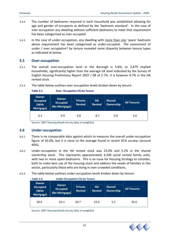- 3.4.2 The number of bedrooms required in each household was established allowing for age and gender of occupants as defined by the 'bedroom standard'. In the case of over‐occupation any dwelling without sufficient bedrooms to meet that requirement has been categorised as over‐occupied.
- 3.4.3 In the case of under-occupation, any dwelling with more than one 'spare' bedroom above requirement has been categorised as under-occupied. The assessment of under / over occupation† by tenure revealed some disparity between tenure types as indicated at below.

#### **3.5 Over‐occupation**

- 3.5.1 The overall over‐occupation level in the Borough is 5.6%, or 3,479 implied households, significantly higher than the average UK level indicated by the Survey of English Housing Preliminary Report 2007 / 08 of 2.7%. It is however 8.7% in the HA rented stock.
- 3.5.2 The table below outlines over occupation levels broken down by tenure.

**Table 3‐5 Over‐ Occupation (%) by Tenure**

| <b>Owner</b><br><b>Occupied</b><br>(With<br>Mortgage) | <b>Owner</b><br><b>Occupied</b><br>(No Mortgage) | <b>Private</b><br><b>Rented</b> | <b>HA</b><br><b>Rented</b> | <b>Shared</b><br>Ownership | <b>All Tenures</b> |
|-------------------------------------------------------|--------------------------------------------------|---------------------------------|----------------------------|----------------------------|--------------------|
| 6.3                                                   | 0.9                                              | 4.8                             | 8.7                        | 0.0                        | 5.6                |

Source: 2007 Housing Needs Survey data re‐weighted

#### **3.6 Under‐occupation**

- 3.6.1 There is no comparable data against which to measure the overall under‐occupation figure of 35.0%, but it is close to the average found in recent DCA surveys (around 40%).
- 3.6.2 Under‐occupation in the HA rented stock was 23.0% and 5.2% in the shared ownership stock. This represents approximately 4,200 social rented family units, with two or more spare bedrooms. This is an issue for Housing Strategy to consider, both to make best use of the housing stock and address the needs of families in this sector, particularly those who are living in over-crowded conditions.
- 3.6.3 The table below outlines under‐occupation levels broken down by tenure.

| Table 3-6                                             | <b>Under-Occupation (%) by Tenure</b>     |                                 |                            |                            |                    |  |
|-------------------------------------------------------|-------------------------------------------|---------------------------------|----------------------------|----------------------------|--------------------|--|
| <b>Owner</b><br><b>Occupied</b><br>(With<br>Mortgage) | Owner<br><b>Occupied</b><br>(No Mortgage) | <b>Private</b><br><b>Rented</b> | <b>HA</b><br><b>Rented</b> | <b>Shared</b><br>Ownership | <b>All Tenures</b> |  |
| 30.6                                                  | 63.1                                      | 20.7                            | 23.0                       | 5.2                        | 35.0               |  |

Source: 2007 Housing Needs Survey data re‐weighted

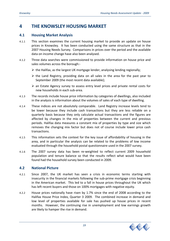# **4 THE KNOWSLEY HOUSING MARKET**

#### **4.1 Housing Market Analysis**

- 4.1.1 This section examines the current housing market to provide an update on house prices in Knowsley. It has been conducted using the same structure as that in the 2007 Housing Needs Survey. Comparisons in prices over the period and the available data on income change have also been analysed.
- 4.1.2 Three data searches were commissioned to provide information on house price and sales volumes across the borough:‐
	- $\triangleright$  the Halifax, as the largest UK mortgage lender, analysing lending regionally;
	- $\triangleright$  the Land Registry, providing data on all sales in the area for the past year to September 2009 (the most recent data available);
	- $\triangleright$  an Estate Agency survey to assess entry level prices and private rental costs for new households in each sub‐area.
- 4.1.3 The records include house price information by categories of dwellings, also included in the analysis is information about the volumes of sales of each type of dwelling.
- 4.1.4 These indices are not absolutely comparable. Land Registry increase levels tend to be lower because they include cash transactions but they are less reliable on a quarterly basis because they only calculate actual transactions and the figures are affected by changes in the mix of properties between the current and previous periods. Halifax data measures a constant mix of properties by type and size which removes the changing mix factor but does not of course include lower price cash transactions.
- 4.1.5 This information sets the context for the key issue of affordability of housing in the area, and in particular the analysis can be related to the problems of low income evaluated through the household postal questionnaire used in the 2007 survey.
- 4.1.6 The 2007 survey data has been re-weighted to reflect current 2009 household population and tenure balance so that the results reflect what would have been found had the household survey been conducted in 2009.

#### **4.2 National Picture**

- 4.2.1 Since 2007, the UK market has seen a crisis in economic terms starting with insecurity in the financial markets following the sub-prime mortgage crisis beginning in the American market. This led to a fall in house prices throughout the UK which has left recent buyers and those on 100% mortgages with negative equity.
- 4.2.2 House prices nationally have risen by 1.7% since the end of 2008 according to the Halifax House Price Index, Quarter 3 2009. The combined increase in demand and low level of properties available for sale has pushed up house prices in recent months. However, the continuing rise in unemployment and low earnings growth are likely to hamper the rise in demand.

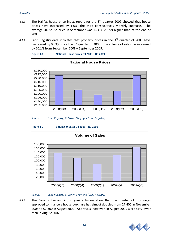- 4.2.3 The Halifax house price index report for the  $3<sup>rd</sup>$  quarter 2009 showed that house prices have increased by 1.6%, the third consecutively monthly increase. The average UK house price in September was 1.7% (£2,672) higher than at the end of 2008.
- 4.2.4 Land Registry data indicates that property prices in the  $3<sup>rd</sup>$  quarter of 2009 have decreased by 0.03% since the  $3<sup>rd</sup>$  quarter of 2008. The volume of sales has increased by 20.1% from September 2008 – September 2009.





*Source: Land Registry, © Crown Copyright (Land Registry)*



**Figure 4‐2 Volume of Sales Q3 2008 – Q3 2009**



*Source: Land Registry, © Crown Copyright (Land Registry)*

4.2.5 The Bank of England industry-wide figures show that the number of mortgages approved to finance a house purchase has almost doubled from 27,400 In November 2008 to 52,300 in August 2009. Approvals, however, in August 2009 were 51% lower than in August 2007.

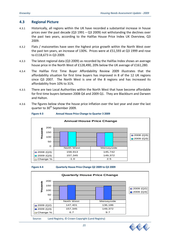#### **4.3 Regional Picture**

- 4.3.1 Historically, all regions within the UK have recorded a substantial increase in house prices over the past decade (Q3 1991 – Q3 2009) not withstanding the declines over the past two years, according to the Halifax House Price Index UK Overview, Q3 2009.
- 4.3.2 Flats / maisonettes have seen the highest price growth within the North West over the past ten years, an increase of 130%. Prices were at £51,593 at Q3 1999 and rose to £118,673 in Q3 2009.
- 4.3.3 The latest regional data (Q3 2009) as recorded by the Halifax Index shows an average house price in the North West of £128,490, 20% below the UK average of £161,280.
- 4.3.4 The Halifax First Time Buyer Affordability Review 2009 illustrates that the affordability situation for first time buyers has improved in 8 of the 12 UK regions since Q3 2007. The North West is one of the 8 regions and has increased its affordability from 10% to 31%.
- 4.3.5 There are two Local Authorities within the North West that have become affordable for first time buyers between 2008 Q4 and 2009 Q1. They are Blackburn and Darwen and Halton.
- 4.3.6 The figures below show the house price inflation over the last year and over the last quarter to 30<sup>th</sup> September 2009.











Source: Land Registry, © Crown Copyright (Land Registry)

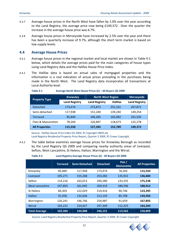- 4.3.7 Average house prices in the North West have fallen by 1.0% over the year according to the Land Registry, the average price now being £149,372. Over the quarter the increase in the average house price was 6.7%.
- 4.3.8 Average house prices in Merseyside have increased by 2.5% over the year and there has been a quarterly increase of 9.7%, although the short term market is based on low supply levels.

#### **4.4 Average House Prices**

- 4.4.1 Average house prices in the regional market and local market are shown in Table 4‐1 below, which details the average prices paid for the main categories of house types using Land Registry data and the Halifax House Price Index.
- 4.4.2 The Halifax data is based on actual sales of mortgaged properties and the information is a real indication of actual prices prevailing in the purchases being made in the North West. The Land Registry data incorporates all transactions at Local Authority level.

|                       | <b>Knowsley</b>      | <b>North West Region</b> | <b>Merseyside</b> |                      |
|-----------------------|----------------------|--------------------------|-------------------|----------------------|
| <b>Property Type</b>  | <b>Land Registry</b> | <b>Land Registry</b>     | <b>Halifax</b>    | <b>Land Registry</b> |
| <b>Detached</b>       | 173,474              | 273,872                  | 251,161           | 267,871              |
| Semi-detached         | 117,938              | 151,240                  | 139,240           | 149,254              |
| <b>Terraced</b>       | 85,840               | 106,365                  | 102,082           | 101,535              |
| Flats & Maisonettes   | 78,204               | 126,897                  | 118,673           | 125,278              |
| <b>All Properties</b> | 115,550              | 157,345                  | 152,789           | 149,372              |

#### **Table 4‐1 Average North West House Prices (£) – All Buyers Q3 2009**

Source: Halifax House Price Index Q3 2009, © Copyright HBOS plc Land Registry Residential Property Price Report, Quarter 3 2009, © Crown Copyright

4.4.3 The table below examines average house prices for Knowsley Borough as recorded by the Land Registry Q3 2009 and comparing nearby authority areas of Liverpool, Sefton, West Lancashire, St Helens, Halton, Warrington and the Wirral.

#### **Table 4‐2 Land Registry Average House Prices (£) ‐ All Buyers Q3 2009**

|                        | <b>Terraced</b> | <b>Semi-Detached</b> | <b>Detached</b> | Flat $/$<br>Maisonette | <b>All Properties</b> |
|------------------------|-----------------|----------------------|-----------------|------------------------|-----------------------|
| Knowsley               | 85,840          | 117,938              | 173,474         | 78,204                 | 115,550               |
| Liverpool              | 105,271         | 155,268              | 253,282         | 135,922                | 136,684               |
| Sefton                 | 114,216         | 163,013              | 294,280         | 133,335                | 175,238               |
| <b>West Lancashire</b> | 107,850         | 161,045              | 269,319         | 180,596                | 188,912               |
| St Helens              | 84,303          | 122,029              | 214,416         | 90.746                 | 123,395               |
| Halton                 | 91,936          | 132,636              | 212,143         | 85,708                 | 134,456               |
| Warrington             | 126,241         | 146,746              | 254,987         | 91,659                 | 167,893               |
| Wirral                 | 103,222         | 154,027              | 297,309         | 112,325                | 164,344               |
| <b>Total Average</b>   | 102,360         | 144,088              | 246,151         | 113,562                | 150,809               |

Source: Land Registry Residential Property Price Report, Quarter 3 2009, © Crown Copyright

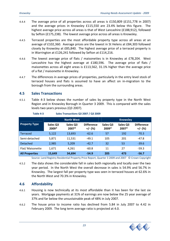- 4.4.4 The average price of all properties across all areas is £150,809 (£151,778 in 2007) and the average prices in Knowsley £115,550 are 23.4% below this figure. The highest average price across all areas is that of West Lancashire (£188,912), followed by Sefton (£175,238). The lowest average price across all areas is Knowsley.
- 4.4.5 Terraced properties are the most affordable property type across all areas at an average of £102,360. Average prices are the lowest in St Helens at £84,303 followed closely by Knowsley at £85,840. The highest average price of a terraced property is in Warrington at £126,241 followed by Sefton at £114,216.
- 4.4.6 The lowest average price of flats / maisonettes is in Knowsley at £78,204. West Lancashire has the highest average at £180,596. The average price of flats / maisonettes across all eight areas is £113,562, 31.1% higher than the average price of a flat / maisonette in Knowsley.
- 4.4.7 The differences in average prices of properties, particularly in the entry level stock of terraced houses and flats is assumed to have an affect on in‐migration to the borough from the surrounding areas.

## **4.5 Sales Transactions**

4.5.1 Table 4-3 below shows the number of sales by property type in the North West Region and in Knowsley Borough in Quarter 3 2009. This is compared with the sales levels two years previous (Q3 2007).

|                       |                   | <b>North West</b> |                                |                   | <b>Knowsley</b>   |                                |
|-----------------------|-------------------|-------------------|--------------------------------|-------------------|-------------------|--------------------------------|
| <b>Property Type</b>  | Sales Q3<br>2009* | Sales Q3<br>2007* | <b>Difference</b><br>$+/-$ (%) | Sales Q3<br>2009* | Sales Q3<br>2007* | <b>Difference</b><br>$+/-$ (%) |
| Terraced              | 5,122             | 13,693            | $-62.6$                        | 57                | 192               | $-70.3$                        |
| Semi-detached         | 5,871             | 11,531            | $-49.1$                        | 105               | 201               | $-47.8$                        |
| Detached              | 2,985             | 5,209             | $-42.7$                        | 32                | 53                | $-39.6$                        |
| Flat/ Maisonette      | 1.671             | 4.261             | $-60.8$                        | 11                | 27                | $-59.3$                        |
| <b>All Properties</b> | 15,649            | 34,694            | $-54.9$                        | 205               | 473               | $-56.7$                        |

#### **Table 4‐3 Sales Transactions Q3 2007 / Q3 2009**

Source: Land Registry Residential Property Price Report, Quarter 3 2009 and 2007 © Crown Copyright

4.5.2 The data shows the considerable fall in sales both regionally and locally over the two year period. In the North West the overall decrease in sales is 54.9% and 56.7% in Knowsley. The largest fall per property type was seen in terraced houses at 62.6% in the North West and 70.3% in Knowsley.

#### **4.6 Affordability**

- 4.6.1 Housing is now technically at its most affordable than it has been for the last six years. Mortgage payments at 31% of earnings are now below the 25 year average of 37% and far below the unsustainable peak of 48% in July 2007.
- 4.6.2 The house price to income ratio has declined from 5.84 in July 2007 to 4.42 in February 2009. The long term average ratio is projected at 4.0.

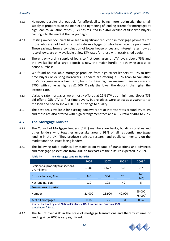- 4.6.3 However, despite the outlook for affordability being more optimistic, the small supply of properties on the market and tightening of lending criteria for mortgages at high loan to valuation ratios (LTV) has resulted in a 46% decline of first time buyers coming into the market than a year ago.
- 4.6.4 Existing owner occupiers have seen a significant reduction in mortgage payments for those who are not tied on a fixed rate mortgage, or who have recently purchased. These savings, from a combination of lower house prices and interest rates now at record lows, are only available at low LTV rates for those with established equity.
- 4.6.5 There is only a tiny supply of loans to first purchasers at LTV levels above 75% and the availability of a large deposit is now the major hurdle in achieving access to house purchase.
- 4.6.6 We found no available mortgage products from high street lenders at 95% to first time buyers or existing borrowers. Lenders are offering a 90% Loan to Valuation (LTV) mortgage over a fixed term, but most have high arrangement fees in excess of £700, with some as high as £1,500. Clearly the lower the deposit, the higher the interest rate.
- 4.6.7 Variable rate mortgages were mostly offered at 25% LTV as a minimum. Lloyds TSB did offer a 95% LTV to first time buyers, but relatives were to act as a guarantor to the loan and had to show £20,000 in savings to qualify.
- 4.6.8 The best deals available for existing borrowers are at interest rates around 3% to 4% and these are also offered with high arrangement fees and a LTV ratio of 40% to 75%.

#### **4.7 The Mortgage Market**

- 4.7.1 The Council of Mortgage Lenders' (CML) members are banks, building societies and other lenders who together undertake around 98% of all residential mortgage lending in the UK. They produce statistics research and public commentary on the market and the issues facing lenders.
- 4.7.2 The following table outlines key statistics on volume of transactions and advances and mortgage possessions from 2006 to forecasts of the outturn expected in 2009.

| Table 4-4<br><b>Key Mortgage Lending Statistics</b> |        |        |                    |                    |  |  |
|-----------------------------------------------------|--------|--------|--------------------|--------------------|--|--|
|                                                     | 2006   | 2007   | 2008 <sup>e1</sup> | $2009^+$           |  |  |
| Residential property transactions,<br>UK, millions  | 1.685  | 1.627  | 0.9                | 0.7                |  |  |
| Gross advances, £bn                                 | 345    | 364    | 261                | 145<br>(145)       |  |  |
| Net lending, £bn                                    | 110    | 108    | 40                 | $-5$               |  |  |
| <b>Possessions in period:</b>                       |        |        |                    |                    |  |  |
| Number                                              | 21,000 | 25,900 | 40,000             | 65,000<br>(75,000) |  |  |
| % of all mortgages                                  | 0.18   | 0.22   | 0.34               | 0.54               |  |  |

Source: Bank of England, National Statistics, HM Revenue and Customs, CML e: estimate f: forecast

4.7.3 The fall of over 40% in the scale of mortgage transactions and thereby volume of lending since 2006 is very significant.

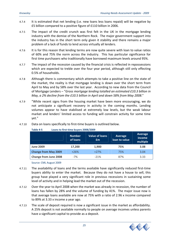- 4.7.4 It is estimated that net lending (i.e. new loans less loans repaid) will be negative by £5 billion compared to a positive figure of £110 billion in 2006.
- 4.7.5 The impact of the credit crunch was first felt in the UK in the mortgage lending industry with the demise of the Northern Rock. The major government support into the industry has in the short term only given it stability and there remains a major problem of a lack of funds to lend across virtually all lenders.
- 4.7.6 It is for this reason that lending terms are now quite severe with loan to value ratios of 60% and 75% the norm across the industry. This has particular significance for first time purchasers who traditionally have borrowed maximum levels around 95%.
- 4.7.7 The impact of the recession caused by the financial crisis is reflected in repossessions which are expected to treble over the four year period, although still only effecting 0.5% of households.
- 4.7.8 Although there is commentary which attempts to take a positive line on the state of the market, the reality is that mortgage lending is down over the short term from April to May and by 58% over the last year. According to new data from the Council of Mortgage Lenders – "*Gross mortgage lending totalled an estimated £10.3 billion in May, a 2% decline from the £10.5 billion in April and down 58% from May 2008*."
- 4.7.9 "While recent signs from the housing market have been more encouraging, we do not anticipate a significant recovery in activity in the coming months. Lending volumes appear to have stabilised at extremely low levels, but the weak labour market and lenders' limited access to funding will constrain activity for some time yet."

| Table 4-5 | Loans to first-time buyers 2008/2009 |                      |                          |  |
|-----------|--------------------------------------|----------------------|--------------------------|--|
|           | <b>Number</b><br>of loans            | Value of loans<br>£m | Average<br>loan to value |  |

4.7.10 Data on loans specifically to first-time buyers is outlined below.

#### Source: CML August 2009

4.7.11 The availability of loans and the terms available have significantly reduced first-time buyers ability to enter the market. Because they do not have a house to sell, this group have played a very significant role in previous recessions in sustaining some level of activity and in helping lead the market out of the recession.

**June 2009 17,200 1,900 75% 3.08 Change from May 2009** +26% +27% 75% 3.04 **Change from June 2008** ‐7% ‐21% 87% 3.33

- 4.7.12 Over the year to April 2008 when the market was already in recession, the number of loans has fallen by 28% and the volume of funding by 41%. The major issue now is that average loans available are now at 75% with a ratio of 2.96 x income compared to 89% at 3.33 x income a year ago.
- 4.7.13 The scale of deposit required is now a significant issue in the market as affordability. A 25% deposit is not available normally to people on average incomes unless parents have a significant capital to provide as a deposit.



**Average income multiple**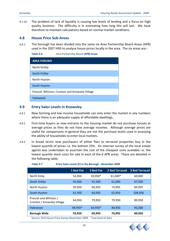4.7.14 The problem of lack of liquidity is causing low levels of lending and a focus on high quality business. The difficulty is in estimating how long this will last. We have therefore to maintain calculations based on normal market conditions.

#### **4.8 House Price Sub‐Areas**

4.8.1 The borough has been divided into the same six Area Partnership Board Areas (APB) used in the 2007 HNS to analyse house prices locally in the area. The six areas are:‐

**Table 4‐6** Area Partnership Board (**APB) Areas**

| <b>AREA FORUMS</b>                             |
|------------------------------------------------|
| North Kirkby                                   |
| South Kirkby                                   |
| North Huyton                                   |
| South Huyton                                   |
| Prescot, Whiston, Cronton and Knowsley Village |
| Halewood                                       |

#### **4.9 Entry Sales Levels in Knowsley**

- 4.9.1 New forming and low income households can only enter the market in any numbers where there is an adequate supply of affordable dwellings.
- 4.9.2 First-time buyers as new entrants to the housing market do not purchase houses at average prices as they do not have average incomes. Although average prices are useful for comparisons in general they are not the purchase levels used in assessing the ability of households to enter local markets.
- 4.9.3 In broad terms new purchasers of either flats or terraced properties buy in the lowest quartile of prices i.e. the bottom 25%. An internet survey of the local estate agents was undertaken to ascertain the cost of the cheapest units available i.e. the lowest quartile stock costs for sale in each of the 6 APB areas. These are detailed in the following table.

|                                                     | 1 Bed Flat | 2 Bed Flat         | <b>2 Bed Terraced</b> | <b>3 Bed Terraced</b> |
|-----------------------------------------------------|------------|--------------------|-----------------------|-----------------------|
| North Kirby                                         | 54,950     | 59,950*            | 61,000*               | 60,000                |
| South Kirkby                                        | 45,000     | 42,500             | 61,000                | 67,500                |
| North Huyton                                        | 59,950     | 69,950             | 74,995                | 84,995                |
| South Huyton                                        | 61,950     | 64,950             | 62,950                | 104,950               |
| Prescot and Whiston /<br>Cronton / Knowsley Village | 64,950     | 79.950             | 79,950                | 89,950                |
| Halewood                                            | 69,950*    | 64,950*            | 84,950                | 95,000                |
| <b>Borough Wide</b>                                 | 59,950     | 69,950             | 74,995                | 89,950                |
| Source: DCA House Price Survey November 2009        |            | *Low level of data |                       |                       |

#### **Table 4‐7 Entry Sales Levels (£) in the Borough ‐ November 2009**

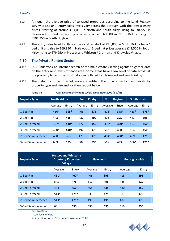- 4.9.4 Although the average price of terraced properties according to the Land Registry survey is £85,840, entry sales levels vary across the Borough with the lowest entry prices, starting at around £61,000 in North and South Kirby, rising to £84,950 in Halewood. 3-bed terraced properties start at £60,000 in North Kirkby rising to £104,950 in South Huyton.
- 4.9.5 The entry sales level for flats / maisonettes start at £45,000 in South Kirkby for a 1 bed unit and rise to £69,950 in Halewood. 2‐bed flat prices average £42,500 in South Kirby rising to £79,950 in Prescot and Whiston / Cronton and Knowsley Village.

#### **4.10 The Private Rented Sector**

- 4.10.1 DCA undertook an internet search of the main estate / letting agents to gather data on the entry rent levels for each area. Some areas have a low level of data across all the property types. The most data was collated for Halewood and South Kirkby.
- 4.10.2 The data from the internet survey identified the private sector rent levels by property type and size and location set out below.

**Table 4‐8 Average and Entry Rent Levels, November 2009 (£ p/m)**

| <b>Property Type</b> | <b>North Kirkby</b> |        | <b>South Kirkby</b> |              | <b>North Huyton</b> |              | <b>South Huyton</b> |              |
|----------------------|---------------------|--------|---------------------|--------------|---------------------|--------------|---------------------|--------------|
|                      | Average             | Entry  | Average             | <b>Entry</b> | Average             | <b>Entry</b> | Average             | <b>Entry</b> |
| 1-Bed Flat           | $410*$              | $395*$ | 406                 | 375          | $413*$              | $375*$       | $413*$              | $375*$       |
| 2-Bed Flat           | 443                 | 415    | 437                 | 400          | 473                 | 395          | 443                 | 395          |
| 2-Bed Terraced       | $497*$              | 440*   | 477                 | 450          | 496*                | $350*$       | 501                 | 450          |
| 3-Bed Terraced       | 480*                | 440*   | 497                 | 475          | 507                 | 450          | 504                 | 450          |
| 2-Bed Semi-detached  | 400                 | $-nd-$ | 473                 | 475          | 484*                | 450*         | 489                 | 475          |
| 3-Bed Semi-detached  | 609                 | 595    | 604                 | 595          | 567                 | 495          | 606*                | $475*$       |

| <b>Property Type</b> | <b>Prescot and Whiston /</b><br><b>Cronton / Knowsley</b><br><b>Village</b> |              |         | <b>Halewood</b> |         | Borough - wide |  |
|----------------------|-----------------------------------------------------------------------------|--------------|---------|-----------------|---------|----------------|--|
|                      | Average                                                                     | <b>Entry</b> | Average | <b>Entry</b>    | Average | <b>Entry</b>   |  |
| 1-Bed Flat           | $461*$                                                                      | 400*         | 406     | 395             | 413     | 395            |  |
| 2-Bed Flat           | 545                                                                         | 475          | 512     | 495             | 485     | 420            |  |
| 2-Bed Terraced       | 484                                                                         | 450          | 468     | 435             | 480     | 450            |  |
| 3-Bed Terraced       | $513*$                                                                      | $475*$       | 533     | 475             | 511     | 475            |  |
| 2-Bed Semi-detached  | $513*$                                                                      | $475*$       | 493     | 495             | 487     | 475            |  |
| 3-Bed Semi-detached  | 601                                                                         | 550          | 637     | 595             | 610     | 550            |  |

nd – No Data

\* Low level of data

Source: DCA House Price Survey November 2009

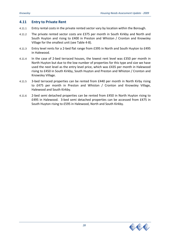#### **4.11 Entry to Private Rent**

- 4.11.1 Entry rental costs in the private rented sector vary by location within the Borough.
- 4.11.2 The private rented sector costs are £375 per month in South Kirkby and North and South Huyton and rising to £400 in Preston and Whiston / Cronton and Knowsley Village for the smallest unit (see Table 4‐8).
- 4.11.3 Entry level rents for a 2-bed flat range from £395 in North and South Huyton to £495 in Halewood.
- 4.11.4 In the case of 2‐bed terraced houses, the lowest rent level was £350 per month in North Huyton but due to the low number of properties for this type and size we have used the next level as the entry level price, which was £435 per month in Halewood rising to £450 in South Kirkby, South Huyton and Preston and Whiston / Cronton and Knowsley Village.
- 4.11.5 3-bed terraced properties can be rented from £440 per month in North Kirby rising to £475 per month in Preston and Whiston / Cronton and Knowsley Village, Halewood and South Kirkby.
- 4.11.6 2-bed semi detached properties can be rented from £450 in North Huyton rising to £495 in Halewood. 3‐bed semi detached properties can be accessed from £475 in South Huyton rising to £595 in Halewood, North and South Kirkby.

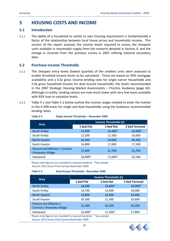# **5 HOUSING COSTS AND INCOME**

#### **5.1 Introduction**

5.1.1 The ability of a household to satisfy its own housing requirement is fundamentally a factor of the relationship between local house prices and households income. This section of the report assesses the income levels required to access the cheapest units available in reasonable supply from the research detailed in Section 4, and the change in incomes from the previous survey in 2007 utilising national secondary data.

#### **5.2 Purchase Income Thresholds**

- 5.2.1 The cheapest entry levels (lowest quartile) of the smallest units were assessed to enable threshold income levels to be calculated. These are based on 95% mortgage availability and a 3.5x gross income lending ratio for single earner households and 2.9x gross household income for dual income households, the levels recommended in the 2007 Strategic Housing Market Assessments – Practice Guidance (page 42). Although in reality, lending rations are now much lower with very few loans available with 95% loan to valuation levels.
- 5.2.2 Table 5‐1 and Table 5‐2 below outline the income ranges needed to enter the market in the 6 APB areas for single and dual households using the Guidance recommended lending ratios.

| Area                                               | Income Thresholds (£) |            |                |  |  |
|----------------------------------------------------|-----------------------|------------|----------------|--|--|
|                                                    | 1 bed Flat            | 2 bed Flat | 2 bed Terraced |  |  |
| North Kirkby                                       | 14,900                | 16,300*    | 16,600*        |  |  |
| South Kirkby                                       | 12,200                | 11,500     | 16,600         |  |  |
| North Huyton                                       | 16,300                | 19,000     | 20,400         |  |  |
| South Huyton                                       | 16,800                | 17,600     | 17,100         |  |  |
| Prescot and Whiston / Cronton<br>/Knowsley Village | 17,600                | 21,700     | 21,700         |  |  |
| Halewood                                           | 19,000*               | 17,600*    | 23,100         |  |  |

**Table 5‐1 Single Income Thresholds – November 2009**

Please note figures are rounded to nearest hundred. \*low sample Source: DCA House Price Survey November 2009

#### **Table 5‐2 Dual Income Thresholds ‐ November 2009**

| <b>Area</b>                                                      | Income Thresholds (£) |            |                |  |  |
|------------------------------------------------------------------|-----------------------|------------|----------------|--|--|
|                                                                  | 1 bed Flat            | 2 bed Flat | 2 bed Terraced |  |  |
| North Kirkby                                                     | 18,000                | 19,600*    | 20,000*        |  |  |
| South Kirkby                                                     | 14,700                | 13,900     | 20,000         |  |  |
| North Huyton                                                     | 19,600                | 22,900     | 24,600         |  |  |
| South Huyton                                                     | 20,300                | 21,300     | 20,600         |  |  |
| Prescot and Whiston /<br>Cronton / Knowsley Village              | 21,300                | 26,200     | 26,200         |  |  |
| Halewood                                                         | 22,900*               | 21,300*    | 27,800         |  |  |
| Please note figures are rounded to nearest hundred. * low sample |                       |            |                |  |  |

Source: DCA House Price Survey November 2009

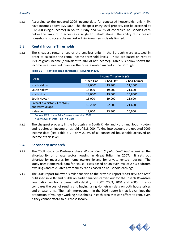5.2.3 According to the updated 2009 income data for concealed households, only 4.4% have incomes above £27,500. The cheapest entry level property can be accessed at £12,200 (single income) in South Kirkby and 54.8% of concealed households earn below this amount to access as a single household alone. The ability of concealed households to access the market within Knowsley is clearly limited.

## **5.3 Rental Income Thresholds**

5.3.1 The cheapest rental prices of the smallest units in the Borough were assessed in order to calculate the rental income threshold levels. These are based on rent at 25% of gross income (equivalent to 30% of net income). Table 5‐3 below shows the income levels needed to access the private rented market in the Borough.

| Area                                                     | Income Thresholds (£) |            |               |  |  |
|----------------------------------------------------------|-----------------------|------------|---------------|--|--|
|                                                          | 1 bed Flat            | 2 bed Flat | 2 bed Terrace |  |  |
| North Kirkby                                             | 19,000*               | 19,900     | 21,100*       |  |  |
| South Kirkby                                             | 18,000                | 19,200     | 21,600        |  |  |
| North Huyton                                             | 18,000*               | 19,000     | 16,800*       |  |  |
| South Huyton                                             | 18,000*               | 19,000     | 21,600        |  |  |
| Prescot / Whiston / Cronton /<br><b>Knowsley Village</b> | 19,200*               | 22,800     | 21,600        |  |  |
| Halewood                                                 | 19,000<br>$\cdots$    | 23,800     | 20,900        |  |  |

**Table 5‐3 Rental Income Thresholds – November 2009**

Source: DCA House Price Survey November 2009

\* Low Level of Data – nd‐ No Data

5.3.2 The cheapest property in the Borough is in South Kirkby and North and South Huyton and requires an income threshold of £18,000. Taking into account the updated 2009 income data (see Table 5‐9 ) only 21.3% of all concealed households achieved an income of this level.

#### **5.4 Secondary Research**

- 5.4.1 The 2008 study by Professor Steve Wilcox '*Can't Supply: Can't buy'* examines the affordability of private sector housing in Great Britain in 2007. It sets out affordability measures for home ownership and for private rented housing. The study uses Hometrack data for House Prices based on an even mix of 2 / 3 bedroom dwellings and calculates affordability ratios based on household earnings.
- 5.4.2 The 2008 report follows a similar analysis to the previous report '*Can't Buy: Can rent'* published in 2007 and builds on earlier analysis carried out for the Joseph Rowntree Foundation on home owner affordability in 2002, 2003, 2004 and 2005. It also compares the cost of renting and buying using Hometrack data on both house prices and private rents. The main improvement in the 2008 report is that it examines the proportion of younger working households in each area that can afford to rent, even if they cannot afford to purchase locally.

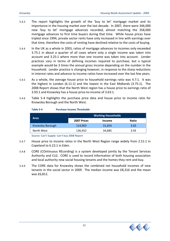- 5.4.3 The report highlights the growth of the 'buy to let' mortgage market and its importance in the housing market over the last decade. In 2007, there were 346,000 new 'buy to let' mortgage advances recorded, almost matching the 358,000 mortgage advances to first time buyers during that time. While house prices have tripled since 1994, private sector rents have only increased in line with earnings over that time, therefore the costs of renting have declined relative to the costs of buying.
- 5.4.4 In the UK as a whole in 2003, ratios of mortgage advances to incomes only exceeded 3.75:1 in about a quarter of all cases where only a single income was taken into account and 3.25:1 where more than one income was taken into account. Lender practices vary in terms of defining incomes required to purchase, but a typical example would be 3 times the annual gross income depending on the number in the household. Lender practice is changing however, in response to the sharp reductions in interest rates and advance to income ratios have increased over the last few years.
- 5.4.5 As a whole, the average house price to household earnings ratio was 4.7:1. It was the highest in London (6.11:1) and the lowest in the East Midlands (3.75:1). The 2008 Report shows that the North West region has a house price to earnings ratio of 3.93:1 and Knowsley has a house price‐to‐income of 3.63:1.
- 5.4.6 Table 5‐4 highlights the purchase price data and house price to income ratio for Knowsley Borough and the North West.

| Table 5-4 | <b>Purchase Income Thresholds</b> |  |
|-----------|-----------------------------------|--|
|           |                                   |  |

|                  | <b>Working Households</b> |               |       |  |
|------------------|---------------------------|---------------|-------|--|
| Area             | 2007 Prices               | <b>Income</b> | Ratio |  |
| Knowsley Borough | 114,903                   | 31,654        | 3.63  |  |
| North West       | 136,452                   | 34,685        | 3.93  |  |

Source: Can't Supply: Can't buy 2008 Report

- 5.4.7 House price to income ratios in the North West Region range widely from 2.51:1 in Copeland to 6.22:1 in Eden.
- 5.4.8 CORE (COntinuous REcording) is a system developed jointly by the Tenant Services Authority and CLG. CORE is used to record information of both housing association and local authority new social housing tenants and the homes they rent and buy.
- 5.4.9 The CORE data for Knowsley shows the combined net household incomes of new tenants in the social sector in 2009. The median income was £8,316 and the mean was £6,812.

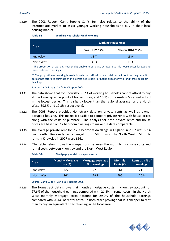5.4.10 The 2008 Report 'Can't Supply: Can't Buy' also relates to the ability of the intermediate market to assist younger working households to buy in their local housing market.

| -<br>- 7 | וח | ., |  |
|----------|----|----|--|
|          |    |    |  |

**Table 5‐5 Working Households Unable to Buy**

|             | <b>Working Households</b> |                   |  |  |
|-------------|---------------------------|-------------------|--|--|
| <b>Area</b> | Broad IHM * (%)           | Narrow IHM ** (%) |  |  |
| Knowsley    | 33.7                      | 15.9              |  |  |
| North West  | 39.3                      | 19.3              |  |  |

\* The proportion of working households unable to purchase at lower quartile house prices for two and three bedroom dwellings.

\*\* The proportion of working households who can afford to pay social rent without housing benefit but cannot afford to purchase at the lowest decile point of house prices for two- and three-bedroom dwellings.

Source: Can't Supply: Can't Buy' Report 2008

- 5.4.11 The data shows that for Knowsley 33.7% of working households cannot afford to buy at the lower quartile point of house prices, and 15.9% of household's cannot afford in the lowest decile. This is slightly lower than the regional average for the North West (39.3% and 19.3% respectively).
- 5.4.12 The 2008 Report provides Hometrack data on private rents as well as owner occupied housing. This makes it possible to compare private rents with house prices along with the costs of purchase. The analysis for both private rents and house prices are based on 2 / bedroom dwellings to make the data comparable.
- 5.4.13 The average private rent for 2 / 3 bedroom dwellings in England in 2007 was £814 per month. Regionally rents ranged from £596 pcm in the North West. Monthly rents in Knowsley in 2007 were £561.
- 5.4.14 The table below shows the comparisons between the monthly mortgage costs and rental costs between Knowsley and the North West Region.

| Area       | <b>Monthly Mortgage</b><br>costs(f) | Mortgage costs as a<br>% of earnings | <b>Monthly</b><br>Rents $(f)$ | Rents as a % of product and a<br>earnings |
|------------|-------------------------------------|--------------------------------------|-------------------------------|-------------------------------------------|
| Knowsley   | 727                                 | 27.6                                 | 561                           | 21.3                                      |
| North West | 864                                 | 29.9                                 | 596                           | 20.6                                      |

Source: Can't Supply: Can't Buy' Report 2008

**Table 5‐6 Mortgage / rental costs per month**

5.4.15 The Hometrack data shows that monthly mortgage costs in Knowsley account for 27.6% of the household earnings compared with 21.3% in rental costs. In the North West monthly mortgage costs account for 29.9% of the household earnings compared with 20.6% of rental costs. In both cases proving that it is cheaper to rent than to buy an equivalent sized dwelling in the local area.

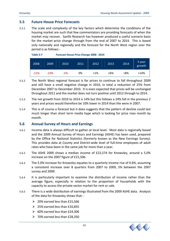#### **5.5 Future House Price Forecasts**

5.5.1 The scale and complexity of the key factors which determine the conditions of the housing market are such that few commentators are providing forecasts of when the market may recover. Savills Research has however produced a useful scenario basis for the market price change through from the end of 2007 to 2014. This is based only nationally and regionally and the forecast for the North West region over the period is as follows:‐

| Table 5-7 | <b>Forecast House Price Change 2008 - 2014</b> |  |
|-----------|------------------------------------------------|--|
|           |                                                |  |

| 2008   | 2009   | $2010^\circ$ | 2011 | 2012  | 2013  | 2014 | 5 year<br>growth |
|--------|--------|--------------|------|-------|-------|------|------------------|
| $-11%$ | $-13%$ | $-1%$        | 0%   | $+1%$ | $+6%$ | +8%  | $+14%$           |

- 5.5.2 The North West regional forecast is for prices to continue to fall throughout 2009 and still have a small negative change in 2010, in total a reduction of 25% from December 2007 to December 2010. It is even expected that prices will be unchanged throughout 2011 and the market does not turn positive until 2012 through to 2014.
- 5.5.3 The net growth from 2010 to 2014 is 14% but this follows a 24% fall in the previous 2 years and prices would therefore be 10% lower in 2014 than the were in 2007.
- 5.5.4 This is of course a forecast but it does suggests that the pattern of decline could last much longer than short term media hype which is looking for price rises month by month.

#### **5.6 Annual Survey of Hours and Earnings**

- 5.6.1 Income data is always difficult to gather at local level. Most data is regionally based and the 2009 Annual Survey of Hours and Earnings (ASHE) has been used, prepared by the Office for National Statistics (formerly known as the New Earnings Survey). This provides data at County and District‐wide level of full‐time employees of adult rates who have been in the same job for more than a year.
- 5.6.2 The ASHE 2009 shows a median income of £22,574 for Knowsley, around a 5.0% increase on the 2007 figure of £21,506.
- 5.6.3 The 5.0% increase for Knowsley equates to a quarterly income rise of 0.6%, assuming a consistent increase over 8 quarters from 2007 to 2009, 5% between the 2007 survey and 2009.
- 5.6.4 It is particularly important to examine the distribution of income rather than the average figure, especially in relation to the proportion of households with the capacity to access the private sector market for rent or sale.
- 5.6.5 There is a wide distribution of earnings illustrated from the 2009 ASHE data. Analysis of the data for Knowsley shows that: ‐
	- $\geq$  20% earned less than £15,566
	- $\geq 25\%$  earned less than £16,855
	- $\geq$  60% earned less than £24,306
	- $\geq 70\%$  earned less than £28,350

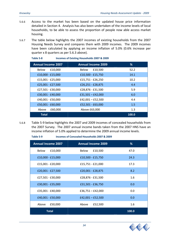- 5.6.6 Access to the market has been based on the updated house price information detailed in Section 4. Analysis has also been undertaken of the income levels of local households, to be able to assess the proportion of people now able access market housing.
- 5.6.7 The table below highlights the 2007 incomes of existing households from the 2007 Housing Needs Survey and compares them with 2009 incomes. The 2009 incomes have been calculated by applying an income inflation of 5.0% (0.6% increase per quarter x 8 quarters as per 5.6.3 above).

| Table 5-8                 | Incomes of Existing Households 2007 & 2009 |                           |       |  |  |  |
|---------------------------|--------------------------------------------|---------------------------|-------|--|--|--|
| <b>Annual Income 2007</b> |                                            | <b>Annual Income 2009</b> | %     |  |  |  |
| <b>Below</b>              | £10,000                                    | £10,500<br>Below          | 52.2  |  |  |  |
| £10,000 - £15,000         |                                            | £10,500 - £15,750         | 14.1  |  |  |  |
| £15,001 - £25,000         |                                            | £15,751 - £26,250         | 10.2  |  |  |  |
| £25,001 - £27,500         |                                            | £26,251 - £28,875         | 4.4   |  |  |  |
| £27,501 - £30,000         |                                            | £28,876 - £31,500         | 5.9   |  |  |  |
| £30,001 - £40,000         |                                            | $£31,501 - £42,000$       | 6.0   |  |  |  |
| £40,001 - £50,000         |                                            | $£42,001 - £52,500$       | 4.4   |  |  |  |
| £50,001 - £60,000         |                                            | £52,501 - £63,000         | 1.5   |  |  |  |
| Above                     | £60,000                                    | Above £63,000             | 1.3   |  |  |  |
| <b>Total</b>              |                                            |                           | 100.0 |  |  |  |

5.6.8 Table 5‐9 below highlights the 2007 and 2009 incomes of concealed households from the 2007 Survey. The 2007 annual income bands taken from the 2007 HNS have an income inflation of 5.0% applied to determine the 2009 annual income levels.

| Lanic J-J                 | incomes of concealed Households 2007 & 2009 |       |
|---------------------------|---------------------------------------------|-------|
| <b>Annual Income 2007</b> | <b>Annual Income 2009</b>                   | %     |
| £10,000<br>Below          | Below<br>£10,500                            | 47.0  |
| £10,000 - £15,000         | £10,500 - £15,750                           | 24.3  |
| £15,001 - £20,000         | £15,751 - £21,000                           | 17.3  |
| £20,001 - £27,500         | £20,001 - £28,875                           | 8.2   |
| £27,501 - £30,000         | £28,876 - £31,500                           | 1.6   |
| £30,001 - £35,000         | £31,501 - £36,750                           | 0.0   |
| £35,001 - £40,000         | $£36,751 - £42,000$                         | 0.0   |
| £40,001 - £50,000         | $£42,001 - £52,500$                         | 0.0   |
| Above<br>£50,000          | Above<br>£52,500                            | 1.6   |
| <b>Total</b>              |                                             | 100.0 |



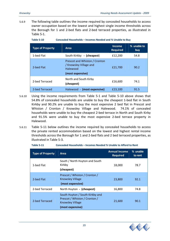5.6.9 The following table outlines the income required by concealed households to access owner occupation based on the lowest and highest single income thresholds across the Borough for 1 and 2‐bed flats and 2‐bed terraced properties, as illustrated in Table 5‐1.

**Table 5‐10 Concealed Households – Incomes Needed and % Unable to Buy** 

| <b>Type of Property</b> | Area                                                                                    | <b>Income</b><br><b>Required</b> | % unable to<br>buy |
|-------------------------|-----------------------------------------------------------------------------------------|----------------------------------|--------------------|
| 1-bed Flat              | South Kirkby - (cheapest)                                                               | £12,200                          | 54.8               |
| 2-bed Flat              | Prescot and Whiston / Cronton<br>/ Knowsley Village and<br>Halewood<br>(most expensive) | £21,700                          | 90.2               |
| 2-bed Terraced          | North and South Kirby<br>(cheapest)                                                     | £16,600                          | 74.1               |
| 2-bed Terraced          | Halewood - (most expensive)                                                             | £23.100                          | 91.5               |

- 5.6.10 Using the income requirements from Table 5‐1 and Table 5‐10 above shows that 54.8% of concealed households are unable to buy the cheapest 1‐bed flat in South Kirkby and 90.2% are unable to buy the most expensive 2 bed flat in Prescot and Whiston / Cronton / Knowsley Village and Halewood. 74.1% of concealed households were unable to buy the cheapest 2‐bed terrace in North and South Kirby and 91.5% were unable to buy the most expensive 2‐bed terrace property in Halewood.
- 5.6.11 Table 5‐11 below outlines the income required by concealed households to access the private rented accommodation based on the lowest and highest rental income thresholds across the Borough for 1 and 2‐bed flats and 2 bed terraced properties, as illustrated in Table 5‐3.

| <b>Type of Property</b> | Area                                                                                                            | <b>Annual Income</b><br><b>Required</b> | % unable<br>to rent |
|-------------------------|-----------------------------------------------------------------------------------------------------------------|-----------------------------------------|---------------------|
| 1-bed Flat              | South / North Huyton and South<br>Kirkby<br>(cheapest)                                                          | 18,000                                  | 78.7                |
| 2-bed Flat              | Prescot / Whiston / Cronton /<br><b>Knowsley Village</b><br>(most expensive)                                    | 23,800                                  | 92.1                |
| 2-bed Terraced          | North Huyton - (cheapest)                                                                                       | 16,800                                  | 74.8                |
| 2-bed Terraced          | South Huyton / South Kirkby and<br>Prescot / Whiston / Cronton /<br><b>Knowsley Village</b><br>(most expensive) | 21,600                                  | 90.1                |

**Table 5‐11 Concealed Households – Incomes Needed % Unable to Afford to Rent** 

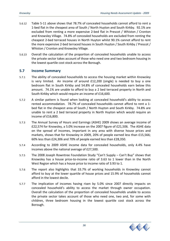- 5.6.12 Table 5‐11 above shows that 78.7% of concealed households cannot afford to rent a 1‐bed flat in the cheapest area of South / North Huyton and South Kirkby. 92.1% are excluded from renting a more expensive 2‐bed flat in Prescot / Whiston / Cronton and Knowsley Village. 74.8% of concealed households are excluded from renting the cheapest 2‐bed terraced houses in North Huyton whilst 90.1% cannot afford to rent the more expensive 2‐bed terraced houses in South Huyton / South Kirkby / Prescot / Whiston / Cronton and Knowsley Village.
- 5.6.13 Overall the calculation of the proportion of concealed households unable to access the private sector takes account of those who need one and two bedroom housing in the lowest quartile cost stock across the Borough.

#### **5.7 Income Summary**

- 5.7.1 The ability of concealed households to access the housing market within Knowsley is very limited. An income of around  $£12,200$  (single) is needed to buy a one bedroom flat in South Kirkby and 54.8% of concealed households earn below this amount. 74.1% are unable to afford to buy a 2 bed terraced property in North and South Kirkby which would require an income of £16,600.
- 5.7.2 A similar pattern is found when looking at concealed household's ability to access rented accommodation. 78.7% of concealed households cannot afford to rent a 1‐ bed flat in the cheapest area of South / North Huyton and South Kirkby. 74.8% are unable to rent a 2 bed terraced property in North Huyton which would require an income of £16,800.
- 5.7.3 The Annual Survey of Hours and Earnings (ASHE) 2009 shows an average income of £22,574 for Knowsley, a 5.0% increase on the 2007 figure of £21,506. The ASHE data on the spread of incomes, important in any area with diverse house prices and markets, shows that for Knowsley in 2009, 20% of people earned less than £15,566; 60% less than £24,306 and 70% of people earned less than £28,350.
- 5.7.4 According to 2009 ASHE income data for concealed households, only 4.4% have incomes above the national average of £27,500.
- 5.7.5 The 2008 Joseph Rowntree Foundation Study "Can't Supply Can't Buy" shows that Knowsley has a house price‐to‐income ratio of 3.63 to 1 lower than in the North West Region which has a house price to income ratio of 3.93 to 1.
- 5.7.6 The report also highlights that 33.7% of working households in Knowsley cannot afford to buy at the lower quartile of house prices and 15.9% of households cannot afford in the lowest decile.
- 5.7.7 The implication of incomes having risen by 5.0% since 2007 directly impacts on concealed household's ability to access the market through owner occupation. Overall the calculation of the proportion of concealed households unable to access the private sector takes account of those who need one, two and, for some with children, three bedroom housing in the lowest quartile cost stock across the Borough.

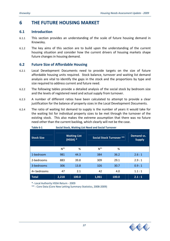# **6 THE FUTURE HOUSING MARKET**

#### **6.1 Introduction**

- 6.1.1 This section provides an understanding of the scale of future housing demand in Knowsley.
- 6.1.2 The key aims of this section are to build upon the understanding of the current housing situation and consider how the current drivers of housing markets shape future changes in housing demand.

#### **6.2 Future Size of Affordable Housing**

- 6.2.1 Local Development Documents need to provide targets on the size of future affordable housing units required. Stock balance, turnover and waiting list demand analysis are vital to identify the gaps in the stock and the proportions by type and size required to address current and future need.
- 6.2.2 The following tables provide a detailed analysis of the social stock by bedroom size and the levels of registered need and actual supply from turnover.
- 6.2.3 A number of different ratios have been calculated to attempt to provide a clear justification for the balance of property sizes in the Local Development Documents.
- 6.2.4 The ratio of waiting list demand to supply is the number of years it would take for the waiting list for individual property sizes to be met through the turnover of the existing stock. This also makes the extreme assumption that there was no future need other than the current backlog, which clearly will not be the case.

| able 6-1          | Social Stock, Waiting List Need and Social Turnover |                                   |                                 |       |                             |  |  |
|-------------------|-----------------------------------------------------|-----------------------------------|---------------------------------|-------|-----------------------------|--|--|
| <b>Stock Size</b> |                                                     | <b>Waiting List</b><br>$(HSSA)$ * | <b>Social Stock Turnover **</b> |       | Demand vs.<br><b>Supply</b> |  |  |
|                   | N <sup>os</sup>                                     | %                                 | N <sup>os</sup>                 | %     |                             |  |  |
| 1-bedroom         | 981                                                 | 44.3                              | 384                             | 36.2  | 2.6:1                       |  |  |
| 2-bedrooms        | 883                                                 | 39.8                              | 309                             | 29.1  | 2.9:1                       |  |  |
| 3-bedrooms        | 306                                                 | 13.8                              | 326                             | 30.7  | 0.9:1                       |  |  |
| 4+ bedrooms       | 47                                                  | 2.1                               | 42                              | 4.0   | 1.1:1                       |  |  |
| <b>Total</b>      | 2,218                                               | 100.0                             | 1,061                           | 100.0 | 2.1:1                       |  |  |

| Table 6-1 | Social Stock, Waiting List Need and Social Turnover |
|-----------|-----------------------------------------------------|
|           |                                                     |

\*‐ Local Authority HSSA Return ‐ 2009

\*\* ‐ Core Data (Core New Letting Summary Statistics, 2008‐2009)

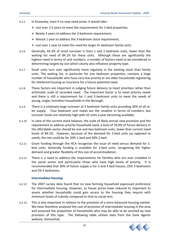- 6.2.5 In Knowsley, even if no new need arose, it would take:‐
	- ¾ Just over 2.5 years to meet the requirements for 1‐bed properties;
	- ¾ Nearly 3 years to address the 2‐bedroom requirement;
	- $\triangleright$  Almost 1 year to address the 3-bedroom stock requirement;
	- $\triangleright$  Just over 1 year to meet the need for larger 4+ bedroom family units.
- 6.2.6 Generally, 65.3% of stock turnover is from 1 and 2 bedroom units, lower than the waiting list need of 84.1% for these units. Although these are significantly the highest need in terms of unit numbers, a number of factors need to be considered in determining targets by size which clearly also influence property type.
- 6.2.7 Small units turn over significantly more regularly in the existing stock than family units. The waiting list, in particular for one bedroom properties, contains a large number of households who have very low priority or are older households registering for sheltered housing as insurance for a future potential need.
- 6.2.8 These factors are important in judging future delivery to meet priorities rather than arithmetic scale of recorded need. The important factor is to meet priority needs and there is still a requirement for 1 and 2‐bedroom units to meet the needs of young, single, homeless households in the Borough.
- 6.2.9 There is a relatively large turnover of 3 bedroom family units providing 30% of all re‐ let supply. Four bedroom unit needs are the smallest in terms of numbers, but turnover levels are relatively high with 42 units a year becoming available.
- 6.2.10 In view of the current stock balance, the scale of likely annual new provision and the requirement to address priority household need, a level of 70.0% of future delivery in the affordable sector should be one and two bedroom units, lower than current need levels of 84.1%. However, because of the demand for 2‐bed units (as opposed to need), the mix could be for 20% 1‐bed and 50% 2‐bed.
- 6.2.11 Grant funding through the HCA recognises the issue of need versus demand for 1‐ bed units. Generally funding is available for 2‐bed units, recognising the higher demand and greater flexibility of this size of accommodation.
- 6.2.12 There is a need to address the requirements for families who are over crowded in the social sector and particularly those who have high levels of priority. It is recommended that 30% of future supply is for 3 and 4 bed houses, 25% 3 bedrooms and 5% 4 bedrooms.

#### **Intermediate Housing**

- 6.2.13 The 2007 survey data found that no new forming household expressed preference for intermediate housing. However, as house prices have reduced its important to assess whether households could gain access to the housing they require with minimum levels of subsidy compared to that to social rent.
- 6.2.14 This is also important in relation to the provision of a more balanced housing market. We have therefore analysed the cost of provision of intermediate housing in the area and assessed the proportion of households who may be able to be assisted by new provision of this type. The following table utilises data from the Zone Agents website, HomesHub.

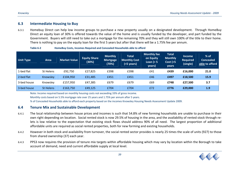#### **6.3Intermediate Housing to Buy**

6.3.1 Homebuy Direct can help low income groups to purchase <sup>a</sup> new property usually on <sup>a</sup> designated development. Through HomeBuy Direct an equity loan of 30% is offered towards the value of the home and is usually funded by the developer, and part funded by the Government. Buyers will still need to take out <sup>a</sup> mortgage for the remaining 70% and they will still own 100% of the title to their home. There is nothing to pay on the equity loan for the first 5 years but after that there will be <sup>a</sup> 1.75% fee per annum.

| <b>Unit Type</b> | <b>Area</b>      | Market Value | <b>Equity Share</b><br>(30%) | <b>Monthly</b><br><b>Mortgage</b><br>(70%) | <b>Total</b><br><b>Monthly Cost</b><br>$(5$ years) | <b>Monthly fee</b><br>on Equity<br>Loan $(> 5)$<br>years) | <b>Total</b><br><b>Monthly</b><br>Cost (>5<br><b>years</b> | <b>Income</b><br><b>Required</b><br>(single) | $%$ of<br><b>Concealed</b><br>able to afford |
|------------------|------------------|--------------|------------------------------|--------------------------------------------|----------------------------------------------------|-----------------------------------------------------------|------------------------------------------------------------|----------------------------------------------|----------------------------------------------|
| 1-bed flat       | St Helens        | £92,750      | £27,825                      | £398                                       | £398                                               | £41                                                       | £439                                                       | £16,000                                      | 21.0                                         |
| 2-bed flat       | Knowsley         | £104,950     | £31,485                      | £451                                       | £451                                               | £46                                                       | £497                                                       | £18,500                                      | 15.9                                         |
| 3-bed house      | Knowslev         | £157,950     | £47,385                      | £679                                       | £679                                               | £69                                                       | £748                                                       | £27,500                                      | 3.7                                          |
| 3-bed house      | <b>St Helens</b> | £163,750     | £49,125                      | £704                                       | £704                                               | £72                                                       | £776                                                       | £29,000                                      | 1.9                                          |

**Table 6‐2HomeBuy Costs, Incomes Required and Concealed Households able to afford**

Note: Income required based on monthly housing costs not exceeding 33% of gross income.

Monthly costs based on 5.5% mortgage rate over 25 years and 1.75% per annum after 5 years.

% of Concealed Households able to afford each property based on the incomes Knowsley Housing Needs Assessment Update 2009.

#### **6.4Tenure Mix and Sustainable Development**

- 6.4.1 The local relationship between house prices and incomes is such that 54.8% of new forming households are unable to purchase in their own right depending on location. Social rented stock is now 29.5% of housing in the area, and the availability of rented stock through re‐ lets is low relative to the expectation that existing stock flows should address 90% of all need. The largest proportion of additional affordable units are required as social rented properties, both for new forming and existing households.
- 6.4.2 However in both stock and availability from turnover, the social rented sector provides is nearly 25 times the scale of units (927) to those from shared ownership (37) each year.
- 6.4.3 PPS3 now requires the provision of tenure mix targets within affordable housing which may vary by location within the Borough to take account of demand, need and current affordable supply at local level.

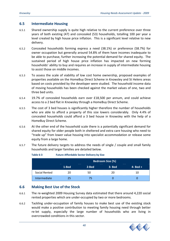#### **6.5 Intermediate Housing**

- 6.5.1 Shared ownership supply is quite high relative to the current preference over three years of both existing (47) and concealed (53) households, totalling 100 per year a level created by high house price inflation. This is a significant level relative to new delivery.
- 6.5.2 Concealed households forming express a need (38.1%) or preference (58.7%) for owner occupation but generally around 54.8% of them have incomes inadequate to be able to purchase, further increasing the potential demand for shared equity. The sustained period of high house price inflation has impacted on new forming households' ability to buy and requires an increase in supply of intermediate housing to assist those on middle incomes.
- 6.5.3 To assess the scale of viability of low cost home ownership, proposed examples of properties available on the HomeBuy Direct Scheme in Knowsley and St Helens areas based on costs provided by the developer were studied. The household income data of moving households has been checked against the market values of one, two and three bed units.
- 6.5.4 19.7% of concealed households earn over £18,500 per annum, and could achieve access to a 2 bed flat in Knowsley through a HomeBuy Direct Scheme.
- 6.5.5 The cost of 3 bed houses is significantly higher therefore the number of households who are able to afford a property of this size lowers considerably. Only 4.4% of concealed households could afford a 3 bed house in Knowsley with the help of a HomeBuy Direct Scheme.
- 6.5.6 At the other end of the household scale there is a potentially significant demand for shared equity for older people both in sheltered and extra care housing who need to "trade up" from lower value housing into specialist accommodation or release some equity from a large home.
- 6.5.7 The future delivery targets to address the needs of single / couple and small family households and larger families are detailed below.

|               | <b>Bedroom Size (%)</b><br><b>Service Service</b> |       |       |             |  |
|---------------|---------------------------------------------------|-------|-------|-------------|--|
|               | 1-Bed                                             | 2-Bed | 3-Bed | $4 - Bed +$ |  |
| Social Rented | 20                                                | 50    | 20    | 10          |  |
| Intermediate  | 25                                                | 75    |       |             |  |

#### **Table 6‐3 Future Affordable Sector Delivery by Size**

#### **6.6 Making Best Use of the Stock**

- 6.6.1 The re‐weighted 2009 Housing Survey data estimated that there around 4,220 social rented properties which are under‐occupied by two or more bedrooms.
- 6.6.2 Tackling under‐occupation of family houses to make best use of the existing stock would make a positive contribution to meeting family housing need through better re-let supply, especially the large number of households who are living in overcrowded conditions in this sector.

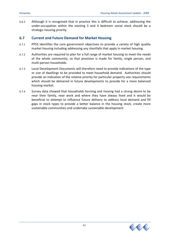6.6.3 Although it is recognised that in practice this is difficult to achieve, addressing the under‐occupation within the existing 3 and 4 bedroom social stock should be a strategic housing priority.

#### **6.7 Current and Future Demand for Market Housing**

- 6.7.1 PPS3 identifies the core government objectives to provide a variety of high quality market housing including addressing any shortfalls that apply in market housing.
- 6.7.2 Authorities are required to plan for a full range of market housing to meet the needs of the whole community, so that provision is made for family, single person, and multi‐person households.
- 6.7.3 Local Development Documents will therefore need to provide indications of the type or size of dwellings to be provided to meet household demand. Authorities should provide an indication of the relative priority for particular property size requirements which should be delivered in future developments to provide for a more balanced housing market.
- 6.7.4 Survey data showed that households forming and moving had a strong desire to be near their family, near work and where they have always lived and it would be beneficial to attempt to influence future delivery to address local demand and fill gaps in stock types to provide a better balance in the housing stock, create more sustainable communities and undertake sustainable development.

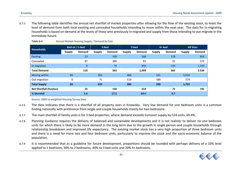6.7.5 The following table identifies the annual net shortfall of market properties after allowing for the flow of the existing stock, to meet the level of demand from both local existing and concealed households intending to move within the next year. The data for in‐migrating households is based on demand at the levels of those who previously in‐migrated and supply from those intending to out‐migrate in the immediate future.

| <b>Households</b>              |               | Bed-sit / 1-bed |               | 2-bed         |               | 3-bed         |               | $4+$ bed      |               | <b>All Sizes</b> |
|--------------------------------|---------------|-----------------|---------------|---------------|---------------|---------------|---------------|---------------|---------------|------------------|
|                                | <b>Supply</b> | <b>Demand</b>   | <b>Supply</b> | <b>Demand</b> | <b>Supply</b> | <b>Demand</b> | <b>Supply</b> | <b>Demand</b> | <b>Supply</b> | <b>Demand</b>    |
| <b>Existing</b>                |               | 23              |               | 109           |               | 568           |               | 118           |               | 818              |
| Concealed                      |               | 87              |               | 380           |               | 81            |               | 25            |               | 573              |
| In-migration                   |               | $\mathbf{0}$    |               | 74            |               | 850           |               | 219           |               | 1,143            |
| <b>Total Demand</b>            |               | 110             |               | 563           |               | 1,499         |               | 362           |               | 2.534            |
| Moving within                  | 85            |                 | 362           |               | 466           |               | 101           |               | 1,014         |                  |
| Out-migration                  | $\Omega$      |                 | 71            |               | 519           |               | 189           |               | 779           |                  |
| <b>Total Supply</b>            | 85            |                 | 433           |               | 985           |               | 290           |               | 1,793         |                  |
| <b>Net Shortfall (Surplus)</b> |               | 25              |               | 130           |               | 514           |               | 72            |               | 741              |
| % Shortfall                    |               | 3.4             |               | 17.5          |               | 69.4          |               | 9.7           |               |                  |

#### **Table 6‐4**Annual Market Housing Supply / Demand by Size

Source: 2009 re‐weighted Housing Survey Data

- 6.7.6 The data indicates that there is <sup>a</sup> shortfall of all property sizes in Knowsley. Very low demand for one bedroom units is <sup>a</sup> common finding nationally with preference from single and couple households mainly for two bedrooms.
- 6.7.7The main shortfall of family units is for 3 bed properties, where demand exceeds turnover supply by 514 units, 69.4%.
- 6.7.8 Planning Guidance requires the delivery of balanced and sustainable developments and it is not realistic to deliver no one bedroom units for which there is likely to be more demand in the long term due to the growth in single person and couple households through relationship breakdown and improved life expectancy. The existing market stock has <sup>a</sup> very high proportion of three bedroom units and there is <sup>a</sup> need for more two and four bedroom units, particularly to improve the stock and the socio‐economic balance of the population.
- 6.7.9 It is recommended that as <sup>a</sup> guideline for future development, proportions should be rounded with perhaps delivery of <sup>a</sup> 10% level applied to 1 bedroom, 30% to 2 bedrooms, 40% to 3 bed units and 20% 4+ bedrooms.

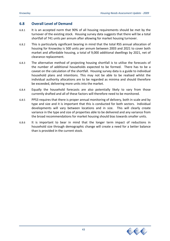#### **6.8 Overall Level of Demand**

- 6.8.1 It is an accepted norm that 90% of all housing requirements should be met by the turnover of the existing stock. Housing survey data suggests that there will be a total shortfall of 741 units per annum after allowing for market housing turnover.
- 6.8.2 This is particularly significant bearing in mind that the total RSS annual allocation of housing for Knowsley is 500 units per annum between 2003 and 2021 to cover both market and affordable housing, a total of 9,000 additional dwellings by 2021, net of clearance replacement.
- 6.8.3 The alternative method of projecting housing shortfall is to utilise the forecasts of the number of additional households expected to be formed. There has to be a caveat on the calculation of the shortfall. Housing survey data is a guide to individual household plans and intentions. This may not be able to be realised whilst the individual authority allocations are to be regarded as minima and should therefore be exceeded, delivering more units into the market.
- 6.8.4 Equally the household forecasts are also potentially likely to vary from those currently drafted and all of these factors will therefore need to be monitored.
- 6.8.5 PPS3 requires that there is proper annual monitoring of delivery, both in scale and by type and size and it is important that this is conducted for both sectors. Individual developments will vary between locations and in size. This will clearly create variance in the type and size of properties able to be delivered and any variance from the broad recommendations for market housing should bias towards smaller units.
- 6.8.6 It is important to bear in mind that the longer term impact of reductions in household size through demographic change will create a need for a better balance than is provided in the current stock.

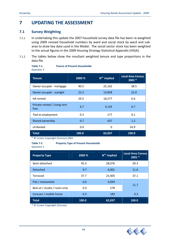# **7 UPDATING THE ASSESSMENT**

#### **7.1 Survey Weighting**

- 7.1.1 In undertaking this update the 2007 household survey data file has been re-weighted using 2009 revised household numbers by ward and social stock by ward and sub‐ area to draw key data used in the Model. The social sector stock has been weighted to the actual figures in the 2009 Housing Strategy Statistical Appendix (HSSA).
- 7.1.2 The tables below show the resultant weighted tenure and type proportions in the data file.

**Table 7‐1 Tenure of Present Households**

| Table 7-1         |  |
|-------------------|--|
| <b>Question 2</b> |  |

| <b>Tenure</b>                        | 2009 % | N <sup>os.</sup> implied | <b>Local Area Census</b><br>$2001*$ |
|--------------------------------------|--------|--------------------------|-------------------------------------|
| Owner occupier - mortgage            | 40.5   | 25,162                   | 38.5                                |
| Owner occupier - outright            | 22.3   | 13,858                   | 22.0                                |
| <b>HA</b> rented                     | 29.5   | 18,277                   | 6.6                                 |
| Private rented / Living rent<br>free | 6.7    | 4,126                    | 6.7                                 |
| Tied to employment                   | 0.3    | 177                      | 0.1                                 |
| Shared ownership                     | 0.7    | 437                      | 1.2                                 |
| LA Rented                            | 0.0    | 0                        | 24.9                                |
| <b>Total</b>                         | 100.0  | 62,037                   | 100.0                               |

\* © Crown Copyright (Census) 2001

#### **Table 7‐2 Property Type of Present Households**

Question 1

| <b>Property Type</b>         | 2009 % | $N^{os.}$ implied | <b>Local Area Census</b><br>$2001*$ |
|------------------------------|--------|-------------------|-------------------------------------|
| Semi-detached                | 45.3   | 28,076            | 39.3                                |
| <b>Detached</b>              | 9.7    | 6,001             | 11.6                                |
| Terraced                     | 37.7   | 23,405            | 37.1                                |
| Flat / maisonette            | 6.6    | 4,094             | 11.7                                |
| Bed-sit / studio / room only | 0.4    | 278               |                                     |
| Caravan / mobile home        | 0.3    | 183               | 0.3                                 |
| <b>Total</b>                 | 100.0  | 62,037            | 100.0                               |

\* © Crown Copyright (Census)

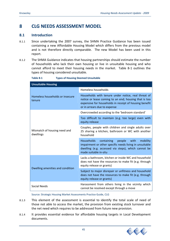# **8 CLG NEEDS ASSESSMENT MODEL**

#### **8.1 Introduction**

- 8.1.1 Since undertaking the 2007 survey, the SHMA Practice Guidance has been issued containing a new Affordable Housing Model which differs from the previous model and is not therefore directly comparable. The new Model has been used in this report.
- 8.1.2 The SHMA Guidance indicates that housing partnerships should estimate the number of households who lack their own housing or live in unsuitable housing and who cannot afford to meet their housing needs in the market. Table 8‐1 outlines the types of housing considered unsuitable.

| <b>Unsuitable Housing</b>                 |                                                                                                                                                                                                        |  |  |
|-------------------------------------------|--------------------------------------------------------------------------------------------------------------------------------------------------------------------------------------------------------|--|--|
|                                           | Homeless households                                                                                                                                                                                    |  |  |
| Homeless households or insecure<br>tenure | Households with tenure under notice, real threat of<br>notice or lease coming to an end; housing that is too<br>expensive for households in receipt of housing benefit<br>or in arrears due to expense |  |  |
|                                           | Overcrowded according to the 'bedroom standard'                                                                                                                                                        |  |  |
|                                           | Too difficult to maintain (e.g. too large) even with<br>equity release                                                                                                                                 |  |  |
| Mismatch of housing need and<br>dwellings | Couples, people with children and single adults over<br>25 sharing a kitchen, bathroom or WC with another<br>household                                                                                 |  |  |
|                                           | <b>Households</b><br>containing<br>people with mobility<br>impairment or other specific needs living in unsuitable<br>dwelling (e.g. accessed via steps), which cannot be<br>made suitable in-situ     |  |  |
| Dwelling amenities and condition          | Lacks a bathroom, kitchen or inside WC and household<br>does not have the resources to make fit (e.g. through<br>equity release or grants)                                                             |  |  |
|                                           | Subject to major disrepair or unfitness and household<br>does not have the resources to make fit (e.g. through<br>equity release or grants)                                                            |  |  |
| <b>Social Needs</b>                       | Harassment from others living in the vicinity which<br>cannot be resolved except through a move                                                                                                        |  |  |

**Table 8‐1 Types of Housing Deemed Unsuitable** 

Source: Strategic Housing Market Assessments Practice Guide, CLG

- 8.1.3 This element of the assessment is essential to identify the total scale of need of those not able to access the market, the provision from existing stock turnover and the net need which requires to be addressed from future new provision.
- 8.1.4 It provides essential evidence for affordable housing targets in Local Development documents.

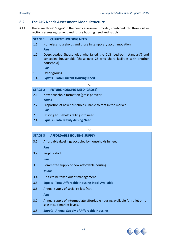#### **8.2 The CLG Needs Assessment Model Structure**

8.2.1 There are three' Stages' in the needs assessment model, combined into three distinct sections assessing current and future housing need and supply.

| <b>STAGE 1</b> | <b>CURRENT HOUSING NEED</b> |
|----------------|-----------------------------|
|                |                             |

- 1.1 Homeless households and those in temporary accommodation *Plus*
- 1.2 Overcrowded (households who failed the CLG 'bedroom standard') and concealed households (those over 25 who share facilities with another household)

*Plus*

1.3 Other groups

1.4 *Equals* **‐ Total Current Housing Need**

|             | <b>STAGE 2 FUTURE HOUSING NEED (GROSS)</b>                |
|-------------|-----------------------------------------------------------|
| 2.1         | New household formation (gross per year)                  |
|             | <b>Times</b>                                              |
| 2.2         | Proportion of new households unable to rent in the market |
| <b>Plus</b> |                                                           |
| 2.3         | Existing households falling into need                     |

2.4 **Equals ‐ Total Newly Arising Need**

#### ↓

|  | STAGE 3 AFFORDABLE HOUSING SUPPLY                       |
|--|---------------------------------------------------------|
|  | 3.1 Affordable dwellings occupied by households in need |

*Plus*

3.2 Surplus stock

*Plus*

- 3.3 Committed supply of new affordable housing *Minus*
- 3.4 Units to be taken out of management
- 3.5 **Equals ‐ Total Affordable Housing Stock Available**
- 3.6 Annual supply of social re‐lets (net)

*Plus*

- 3.7 Annual supply of intermediate affordable housing available for re‐let or re‐ sale at sub‐market levels.
- 3.8 *Equals* **‐ Annual Supply of Affordable Housing**

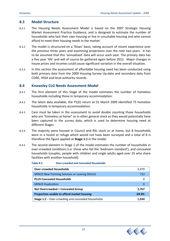#### **8.3 Model Structure**

- 8.3.1 The Housing Needs Assessment Model is based on the 2007 Strategic Housing Market Assessment Practice Guidance, and is designed to estimate the number of households who lack their own housing or live in unsuitable housing and who cannot afford to meet their housing needs in the market.
- 8.3.2 The model is structured on a 'flows' basis, taking account of recent experience over the previous three years and examining projections over the next two years. It has to be assumed that this 'annualised' data will occur each year. The primary data has a five year 'life' and will of course be gathered again before 2012. Major changes in house prices and incomes could cause significant variation in the overall situation.
- 8.3.3 In this section the assessment of affordable housing need has been conducted using both primary data from the 2009 Housing Survey Up‐date and secondary data from CORE, HSSA and local authority records.

#### **8.4 Knowsley CLG Needs Assessment Model**

- 8.4.1 The first element of this Stage of the model estimates the number of homeless households including those in temporary accommodation.
- 8.4.2 The latest data available, the P1(E) return at 31 March 2009 identified 75 homeless households in temporary accommodation.
- 8.4.3 Care must be taken in the assessment to avoid double counting those households who are "homeless at home" or in other general stock as they would potentially have been captured in the survey data, which is used to determine housing need at different Stages.
- 8.4.4 The majority were housed in Council and RSL stock or at home, but 8 households were in a hostel or refuge which would not have been surveyed and a total of 8 is therefore the figure applied at **Stage 1.1** in the model.
- 8.4.5 The second element in Stage 1 of the model estimates the number of households in over‐crowded conditions (i.e. those who fail the 'bedroom standard'), and concealed households (couples, people with children and single adults aged over 25 who share facilities with another household)

| <b>Over-crowded Households</b>                     | 3,479 |
|----------------------------------------------------|-------|
| MINUS New Forming Solution or Leaving District     | 712   |
| <b>PLUS Concealed Households</b>                   |       |
| <b>MINUS Duplication</b>                           |       |
| <b>Net Overcrowded + Concealed Group</b>           | 2,767 |
| Proportion unable to afford market housing         | 69.9% |
| Stage 1.2 - Over-crowding and concealed households | 1.934 |

#### **Table 8‐2 Over‐crowded and Concealed Households**

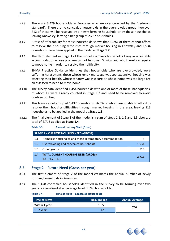- 8.4.6 There are 3,479 households in Knowsley who are over‐crowded by the 'bedroom standard'. There are no concealed households in the overcrowded group, however 712 of these will be resolved by a newly forming household or by these households leaving Knowsley, leaving a net group of 2,767 households.
- 8.4.7 A test of affordability for these households shows that 69.9% of them cannot afford to resolve their housing difficulties through market housing in Knowsley and 1,934 households have been applied in the model at **Stage 1.2**.
- 8.4.8 The third element in Stage 1 of the model examines households living in unsuitable accommodation whose problem cannot be solved 'in‐situ' and who therefore require to move home in order to resolve their difficulty.
- 8.4.9 SHMA Practice Guidance identifies that households who are overcrowded, were suffering harassment, those whose rent / mortgage was too expensive, housing was affecting their health, whose tenancy was insecure or whose home was too large are all assessed to need to move home.
- 8.4.10 The survey data identified 1,454 households with one or more of these inadequacies, of whom 17 were already counted in Stage 1.2 and need to be removed to avoid double‐counting.
- 8.4.11 This leaves a net group of 1,437 households, 56.6% of whom are unable to afford to resolve their housing difficulties through market housing in the area, leaving 813 households to be applied in the model at **Stage 1.3**.
- 8.4.12 The final element of Stage 1 of the model is a sum of steps 1.1, 1.2 and 1.3 above, a total of 2,715 applied at **Stage 1.4**.

**Table 8‐3 Current Housing Need (Gross)**

|     | <b>STAGE 1 - CURRENT HOUSING NEED (GROSS)</b>            |       |
|-----|----------------------------------------------------------|-------|
| 1.1 | Homeless households and those in temporary accommodation | 8     |
| 1.2 | Overcrowding and concealed households                    | 1,934 |
| 1.3 | Other groups                                             | 813   |
| 1.4 | <b>TOTAL CURRENT HOUSING NEED (GROSS)</b>                |       |
|     | $1.1 + 1.2 + 1.3$                                        | 2,715 |

#### **8.5 Stage 2 – Future Need (Gross per year)**

- 8.5.1 The first element of Stage 2 of the model estimates the annual number of newly forming households in Knowsley.
- 8.5.2 The 1,478 concealed households identified in the survey to be forming over two years is annualised at an average level of 740 households.

**Table 8‐4 Time of Move – Concealed Households**

| Time of Move        | Nos. implied | <b>Annual Average</b> |  |
|---------------------|--------------|-----------------------|--|
| Within 1 year       | 1,056        | 740                   |  |
| $\vert$ 1 - 2 years | 423          |                       |  |

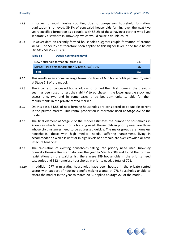- 8.5.3 In order to avoid double counting due to two-person household formation, duplication is removed. 39.8% of concealed households forming over the next two years specified formation as a couple, with 58.2% of these having a partner who lived separately elsewhere in Knowsley, which would cause a double count.
- 8.5.4 However data on recently formed households suggests couple formation of around 40.6%. The 58.2% has therefore been applied to this higher level in the table below  $(40.6\% \times 58.2\% = 23.6\%).$

| Table 8-5                                        | <b>Double Counting Removal</b>       |     |
|--------------------------------------------------|--------------------------------------|-----|
|                                                  | New household formation (gross p.a.) | 740 |
| MINUS - Two person formation (740 x 23.6%) x 0.5 |                                      | 87  |
| <b>NTotal</b>                                    |                                      | 653 |

- 8.5.5 This results in an annual average formation level of 653 households per annum, used at **Stage 2.1** of the model.
- 8.5.6 The income of concealed households who formed their first home in the previous year has been used to test their ability' to purchase in the lower quartile stock and access one, two and in some cases three bedroom units suitable for their requirements in the private rented market.
- 8.5.7 On this basis 54.8% of new forming households are considered to be unable to rent in the private market. This rental proportion is therefore used at **Stage 2.2** of the model.
- 8.5.8 The final element of Stage 2 of the model estimates the number of households in Knowsley who fall into priority housing need. Households in priority need are those whose circumstances need to be addressed quickly. The major groups are homeless households, those with high medical needs, suffering harassment, living in accommodation which is unfit or in high levels of disrepair, are over‐crowded or have insecure tenancies.
- 8.5.9 The calculation of existing households falling into priority need used Knowsley Council's Housing Register data over the year to March 2009 and found that of new registrations on the waiting list, there were 389 households in the priority need categories and 312 homeless households in priority need, a total of 701.
- 8.5.10 In addition 277 in‐migrating households have been housed in the private rented sector with support of housing benefit making a total of 978 households unable to afford the market in the year to March 2009, applied at **Stage 2.3** of the model.

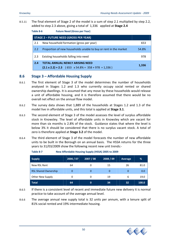8.5.11 The final element of Stage 2 of the model is a sum of step 2.1 multiplied by step 2.2, added to step 2.3 above, giving a total of 1,336 applied at **Stage 2.4**

#### **Table 8‐6 Future Need (Gross per Year)**

|     | <b>STAGE 2 - FUTURE NEED (GROSS PER YEAR)</b>                                                               |       |
|-----|-------------------------------------------------------------------------------------------------------------|-------|
| 2.1 | New household formation (gross per year)                                                                    | 653   |
| 2.2 | Proportion of new households unable to buy or rent in the market                                            | 54.8% |
| 2.3 | Existing households falling into need                                                                       | 978   |
| 2.4 | <b>TOTAL ANNUAL NEWLY ARISING NEED</b><br>$(2.1 \times 2.2) + 2.3$ (653 $\times$ 54.8% = 358 + 978 = 1,336) | 1,336 |

#### **8.6 Stage 3 – Affordable Housing Supply**

- 8.6.1 The first element of Stage 3 of the model determines the number of households analysed in Stages 1.2 and 1.3 who currently occupy social rented or shared ownership dwellings. It is assumed that any move by these households would release a unit of affordable housing, and it is therefore assumed that there would be no overall net effect on the annual flow model.
- 8.6.2 The survey data shows that 1,889 of the households at Stages 1.2 and 1.3 of the model live in affordable units, and this total is applied at **Stage 3.1**.
- 8.6.3 The second element of Stage 3 of the model assesses the level of surplus affordable stock in Knowsley. The level of affordable units in Knowsley which are vacant for more than six months is 2.8% of the stock. Guidance states that where the level is below 3% it should be considered that there is no surplus vacant stock. A total of zero is therefore applied at **Stage 3.2** of the model.
- 8.6.4 The third element of Stage 3 of the model forecasts the number of new affordable units to be built in the Borough on an annual basis. The HSSA returns for the three years to 31/03/2009 show the following recent new unit trends:‐

| <b>Supply</b>               | 2006 / 07 | 2007 / 08   | 2008 / 09 | Average | %     |
|-----------------------------|-----------|-------------|-----------|---------|-------|
| New RSL Rent                | 64        | 0           | 15        | 26      | 81.0  |
| <b>RSL Shared Ownership</b> |           | 0           | 0         | 0       | 0.0   |
| <b>Other New Supply</b>     | 0         | 0           | 19        | 6       | 19.0  |
| <b>Total</b>                | 64        | $\mathbf 0$ | 34        | 32      | 100.0 |

**Table 8‐7 New Affordable Housing Supply (HSSA) 2005 to 2009**

- 8.6.5 If there is a consistent level of recent and immediate future new delivery it is normal practice to take account of the average annual level.
- 8.6.6 The average annual new supply total is 32 units per annum, with a tenure split of 81% social rented and 19% intermediate housing.

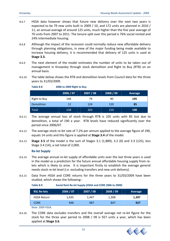- 8.6.7 HSSA data however shows that future new delivery over the next two years is expected to be 79 new units built in 2009 / 10, and 172 units are planned in 2010 / 11, an annual average of around 125 units, much higher than the five year average of 70 units from 2007 to 2011. The tenure split over this period is 76% social rented and 24% intermediate housing.
- 8.6.8 Although the impact of the recession could normally reduce new affordable delivery through planning obligations, in view of the major funding being made available to increase housing delivery, it is recommended that delivery of 125 units is used at **Stage 3.3.**
- 8.6.9 The next element of the model estimates the number of units to be taken out of management in Knowsley through stock demolition and Right to Buy (RTB) on an annual basis.
- 8.6.10 The table below shows the RTB and demolition levels from Council data for the three years to 31/03/2009.

**Table 8‐8 2006 to 2009 Right to Buy** 

|                     | ີ         |           |          |            |
|---------------------|-----------|-----------|----------|------------|
|                     | 2006 / 07 | 2007 / 08 | 2008 /09 | Average    |
| <b>Right to Buy</b> | 146       | 79        | 90       | 105        |
| <b>Demolition</b>   | 12        | 124       | 120      | 85         |
| Total               | 158       | 203       | 210      | <b>190</b> |

- 8.6.11 The average annual loss of stock through RTB is 105 units with 85 lost due to demolition, a total of 190 a year. RTB levels have reduced significantly over the period since 2006/07.
- 8.6.12 The average stock re‐let rate of 7.2% per annum applied to the average figure of 190, equals 14 units and this figure is applied at **Stage 3.4** of the model.
- 8.6.13 **Stage 3.5** of the model is the sum of Stages 3.1 (1,889), 3.2 (0) and 3.3 (125), less Stage 3.4 (14), a net total of 2,000.

#### **Re‐let Supply**

- 8.6.14 The average annual re-let supply of affordable units over the last three years is used in the model as a prediction for the future annual affordable housing supply from re‐ lets which is likely to arise. It is important firstly to establish the average general needs stock re‐let level (i.e. excluding transfers and new unit delivery).
- 8.6.15 Data from HSSA and CORE returns for the three years to 31/03/2009 have been studied, which shows the following:‐

**Table 8‐9 Social Rent Re‐let Supply (HSSA and CORE 2006 to 2009)**

| <b>RSL Re-lets</b> | 2006 / 07 | $\sqrt{2007} / 08$ | 2008 / 09 | Average |
|--------------------|-----------|--------------------|-----------|---------|
| <b>HSSA Return</b> | 1.435     | 1.447              | 1,308     | 1,397   |
| <b>CORE</b>        | 948       | 987                | 847       | 927     |

Note: 2009 HSSA.

8.6.16 The CORE data excludes transfers and the overall average net re‐let figure for the stock for the three year period to 2008 / 09 is 927 units a year, which has been applied at **Stage 3.6**.

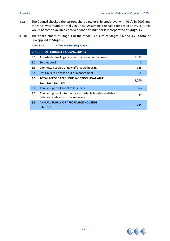- 8.6.17 The Council checked the current shared ownership stock level with RSL's in 2009 and the stock was found to total 740 units. Assuming a re-sale rate based at 5%, 37 units would become available each year and this number is incorporated at **Stage 3.7**.
- 8.6.18 The final element of Stage 3 of the model is a sum of Stages 3.6 and 3.7, a total of 964 applied at **Stage 3.8**.

|     | <b>Table 8-10</b><br><b>Affordable Housing Supply</b>                                                   |       |
|-----|---------------------------------------------------------------------------------------------------------|-------|
|     | <b>STAGE 3 - AFFORDABLE HOUSING SUPPLY</b>                                                              |       |
| 3.1 | Affordable dwellings occupied by households in need                                                     | 1,889 |
| 3.2 | Surplus stock                                                                                           | 0     |
| 3.3 | Committed supply of new affordable housing                                                              | 125   |
| 3.4 | less Units to be taken out of management                                                                | 14    |
|     |                                                                                                         |       |
| 3.5 | TOTAL AFFORDABLE HOUSING STOCK AVAILABLE                                                                |       |
|     | $3.1 + 3.2 + 3.3 - 3.4$                                                                                 | 2,000 |
| 3.6 | Annual supply of social re-lets (net)                                                                   | 927   |
| 3.7 | Annual supply of intermediate affordable housing available for<br>re-let or resale at sub market levels | 37    |

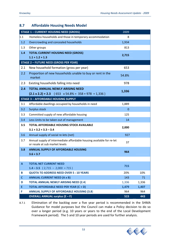## **8.7 Affordable Housing Needs Model**

|                   | <b>STAGE 1 - CURRENT HOUSING NEED (GROSS)</b>                                                           | 2009         |             |
|-------------------|---------------------------------------------------------------------------------------------------------|--------------|-------------|
| 1.1               | Homeless households and those in temporary accommodation                                                | 8            |             |
| 1.2               | Overcrowding and concealed households                                                                   | 1,934        |             |
| 1.3               | Other groups                                                                                            | 813          |             |
| 1.4               | <b>TOTAL CURRENT HOUSING NEED (GROSS)</b>                                                               | 2,715        |             |
|                   | $1.1 + 1.2 + 1.3$                                                                                       |              |             |
|                   | <b>STAGE 2 - FUTURE NEED (GROSS PER YEAR)</b>                                                           |              |             |
| 2.1               | New household formation (gross per year)                                                                | 653          |             |
| 2.2               | Proportion of new households unable to buy or rent in the<br>market                                     | 54.8%        |             |
| 2.3               | Existing households falling into need                                                                   | 978          |             |
| 2.4               | <b>TOTAL ANNUAL NEWLY ARISING NEED</b>                                                                  |              |             |
|                   | $(2.1 \times 2.2) + 2.3$ (653 $\times$ 54.8% = 358 + 978 = 1,336)                                       | 1,336        |             |
|                   | <b>STAGE 3 - AFFORDABLE HOUSING SUPPLY</b>                                                              |              |             |
| 3.1               | Affordable dwellings occupied by households in need                                                     | 1,889        |             |
| 3.2               | <b>Surplus stock</b>                                                                                    | $\mathbf{0}$ |             |
| 3.3               | Committed supply of new affordable housing                                                              | 125          |             |
| 3.4               | Less Units to be taken out of management                                                                | 14           |             |
| 3.5               | <b>TOTAL AFFORDABLE HOUSING STOCK AVAILABLE</b><br>$3.1 + 3.2 + 3.3 - 3.4$                              | 2,000        |             |
| 3.6               | Annual supply of social re-lets (net)                                                                   | 927          |             |
| 3.7               | Annual supply of intermediate affordable housing available for re-let<br>or resale at sub market levels | 37           |             |
| 3.8               | <b>ANNUAL SUPPLY OF AFFORDABLE HOUSING</b><br>$3.6 + 3.7$                                               | 964          |             |
|                   |                                                                                                         |              |             |
| $\mathbf{A}$      | <b>TOTAL NET CURRENT NEED</b>                                                                           | 715          |             |
|                   | $1.4 - 3.5$ (2,715 - 2,000 = 715)                                                                       |              |             |
| B                 | <b>QUOTA TO ADDRESS NEED OVER 5:10 YEARS</b>                                                            | 20%          | 10%         |
| $\mathsf{C}$<br>D | <b>ANNUAL CURRENT NEED (A x B)</b><br><b>TOTAL ANNUAL NEWLY ARISING NEED (2.4)</b>                      | 143<br>1,336 | 71<br>1,336 |
| Ε                 | TOTAL AFFORDABLE NEED PER YEAR (C + D)                                                                  | 1,479        | 1,407       |
| F                 | <b>ANNUAL SUPPLY OF AFFORDABLE HOUSING (3.8)</b>                                                        | 964          | 964         |
|                   | <b>OVERALL ANNUAL surplus (E – F)</b>                                                                   | 515          | 443         |

8.7.1 Elimination of the backlog over a five year period is recommended in the SHMA Guidance for model purposes but the Council can make a Policy decision to do so over a longer period (e.g. 10 years or years to the end of the Local Development Framework period). The 5 and 10 year periods are used for further analysis.

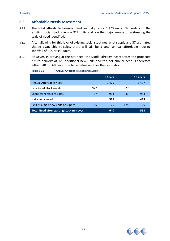#### **8.8 Affordable Needs Assessment**

- 8.8.1 The total affordable housing need annually is for 1,479 units. Net re-lets of the existing social stock average 927 units and are the major means of addressing the scale of need identified.
- 8.8.2 After allowing for this level of existing social stock net re-let supply and 37 estimated shared ownership re-sales, there will still be a total annual affordable housing shortfall of 515 or 443 units.
- 8.8.3 However, in arriving at the net need, the Model already incorporates the projected future delivery of 125 additional new units and the net annual need is therefore either 640 or 568 units. The table below outlines the calculation.

#### **Table 8‐11 Annual Affordable Need and Supply**

|                                                 |     | 5 Years |     | <b>10 Years</b> |
|-------------------------------------------------|-----|---------|-----|-----------------|
| Annual Affordable Need                          |     | 1,479   |     | 1,407           |
| Less Social Stock re-lets                       | 927 |         | 927 |                 |
| Share ownership re-sales                        | 37  | 964     | 37  | 964             |
| Net annual need                                 |     | 515     |     | 443             |
| Plus Assumed new units of supply                | 125 | 125     | 125 | 125             |
| <b>Total Need after existing stock turnover</b> |     | 640     |     | 568             |

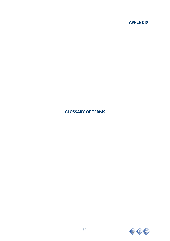## **APPENDIX I**

# **GLOSSARY OF TERMS**

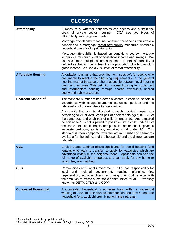|                               | <b>GLOSSARY</b>                                                                                                                                                                                                                                                                                                                                                                                                                                                                                                                                                                                                                                                                                                                                    |
|-------------------------------|----------------------------------------------------------------------------------------------------------------------------------------------------------------------------------------------------------------------------------------------------------------------------------------------------------------------------------------------------------------------------------------------------------------------------------------------------------------------------------------------------------------------------------------------------------------------------------------------------------------------------------------------------------------------------------------------------------------------------------------------------|
| <b>Affordability</b>          | A measure of whether households can access and sustain the<br>costs of private sector housing.<br>DCA use two types of<br>affordability: mortgage and rental.<br>Mortgage affordability measures whether households can afford a<br>deposit and a mortgage; rental affordability measures whether a<br>household can afford a private rental.<br>Mortgage affordability is based on conditions set by mortgage<br>lenders - a minimum level of household income and savings. We<br>use a 3 times multiple of gross income. Rental affordability is<br>defined as the rent being less than a proportion of a household's<br>gross income. We use a 25% level of rental affordability.                                                               |
| <b>Affordable Housing</b>     | Affordable housing is that provided, with subsidy <sup>1</sup> , for people who<br>are unable to resolve their housing requirements, in the general<br>housing market because of the relationship between local housing<br>costs and incomes. This definition covers housing for social rent<br>and intermediate housing through shared ownership, shared<br>equity and sub-market rent.                                                                                                                                                                                                                                                                                                                                                           |
| Bedroom Standard <sup>2</sup> | The standard number of bedrooms allocated to each household in<br>accordance with its age/sex/marital status composition and the<br>relationship of the members to one another.<br>A separate bedroom is allocated to each married couple, any<br>person aged 21 or over, each pair of adolescents aged 10 - 20 of<br>the same sex, and each pair of children under 10. Any unpaired<br>person aged $10 - 20$ is paired, if possible with a child under 10 of<br>the same sex, or, if that is not possible, he or she is given a<br>separate bedroom, as is any unpaired child under 10. This<br>standard is then compared with the actual number of bedrooms<br>available for the sole use of the household and the differences are<br>tabulated. |
| <b>CBL</b>                    | Choice Based Lettings allows applicants for social housing (and<br>tenants who want to transfer) to apply for vacancies which are<br>advertised widely in the neighbourhood. Applicants can see the<br>full range of available properties and can apply for any home to<br>which they are matched.                                                                                                                                                                                                                                                                                                                                                                                                                                                 |
| <b>CLG</b>                    | Communities and Local Government. CLG has responsibility for<br>housing,<br>local<br>and<br>regional government,<br>planning,<br>fire,<br>regeneration, social exclusion and neighbourhood renewal with<br>the ambition to create sustainable communities for all. Previously<br>known as DETR, DTLR and ODPM.                                                                                                                                                                                                                                                                                                                                                                                                                                     |
| <b>Concealed Household</b>    | A Concealed Household is someone living within a household<br>wanting to move to their own accommodation and form a separate<br>household (e.g. adult children living with their parents).                                                                                                                                                                                                                                                                                                                                                                                                                                                                                                                                                         |

<sup>&</sup>lt;u>\_\_</u><br><sup>1</sup> This subsidy is not always public subsidy.<br><sup>2</sup> This definition is taken from the Survey of English Housing, DCLG.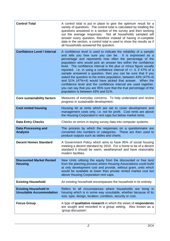| <b>Control Total</b>                                            | A control total is put in place to give the optimum result for a<br>variety of questions. The control total is calculated by totalling the<br>questions answered in a section of the survey and then working<br>out the average responses. Not all households sampled will<br>answer every question; therefore instead of having in-complete<br>data in the section, a control total is used to show the results as if<br>all households answered the question.                                                                                                                                                                                                                                                                                                                           |
|-----------------------------------------------------------------|-------------------------------------------------------------------------------------------------------------------------------------------------------------------------------------------------------------------------------------------------------------------------------------------------------------------------------------------------------------------------------------------------------------------------------------------------------------------------------------------------------------------------------------------------------------------------------------------------------------------------------------------------------------------------------------------------------------------------------------------------------------------------------------------|
| <b>Confidence Level / Interval</b>                              | A confidence level is used to indicate the reliability of a sample<br>and tells you how sure you can be. It is expressed as a<br>percentage and represents how often the percentage of the<br>population who would pick an answer lies within the confidence<br>level. The confidence interval is the plus or minus figure usually<br>reported. i.e. in using a confidence interval of $+/- 4$ , if 47% of a<br>sample answered a question, then you can be sure that if you<br>asked the question to the entire population, between 43% (47%-4)<br>and 51% (47%+4) would have picked that answer. When the<br>confidence level and the confidence interval are used together,<br>you can say that you are 95% sure that the true percentage of the<br>population is between 43% and 51%. |
| <b>Core sustainability factors</b>                              | Measures of everyday concerns. To help understand and review<br>progress in sustainable development.                                                                                                                                                                                                                                                                                                                                                                                                                                                                                                                                                                                                                                                                                      |
| <b>Cost rented housing</b>                                      | Housing let at rents which are set to cover development and<br>management costs only, i.e. not for profit. Cost rents are above<br>the Housing Corporation's rent caps but below market rents.                                                                                                                                                                                                                                                                                                                                                                                                                                                                                                                                                                                            |
| <b>Data Entry Checks</b>                                        | Checks on errors in keying survey data into computer systems.                                                                                                                                                                                                                                                                                                                                                                                                                                                                                                                                                                                                                                                                                                                             |
| <b>Data Processing and</b><br><b>Analysis</b>                   | The process by which the responses on a questionnaire are<br>converted into numbers or categories. These are then used to<br>produce outputs such as tables and charts.                                                                                                                                                                                                                                                                                                                                                                                                                                                                                                                                                                                                                   |
| <b>Decent Homes Standard</b>                                    | A Government Policy which aims to have 95% of social housing<br>meeting a decent standard by 2010. For a home to be of a decent<br>standard it should be warm, weatherproof and have reasonably<br>modern facilities.                                                                                                                                                                                                                                                                                                                                                                                                                                                                                                                                                                     |
| <b>Discounted Market Rented</b><br><b>Housing</b>               | New Units utilising the equity from the discounted or free land<br>from the planning process where Housing Associations could build<br>at only development cost and provide, without grant, units which<br>would be available at lower than private rented market cost but<br>above Housing Corporation rent caps.                                                                                                                                                                                                                                                                                                                                                                                                                                                                        |
| <b>Existing Household</b>                                       | An existing household encompasses the household in its entirety.                                                                                                                                                                                                                                                                                                                                                                                                                                                                                                                                                                                                                                                                                                                          |
| <b>Existing Household In</b><br><b>Unsuitable Accommodation</b> | Refers to all circumstances where households are living in<br>housing which is in some way unsuitable, whether because of its<br>size, type, design, location, condition, security or cost.                                                                                                                                                                                                                                                                                                                                                                                                                                                                                                                                                                                               |
| <b>Focus Group</b>                                              | A type of qualitative research in which the views of respondents<br>are sought and recorded in a group setting. Also known as a<br>'group discussion'.                                                                                                                                                                                                                                                                                                                                                                                                                                                                                                                                                                                                                                    |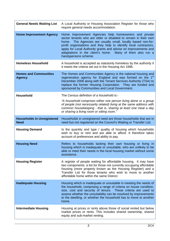| <b>General Needs Waiting List</b>                | A Local Authority or Housing Association Register for those who<br>require general needs accommodation.                                                                                                                                                                                                                                                                                                               |
|--------------------------------------------------|-----------------------------------------------------------------------------------------------------------------------------------------------------------------------------------------------------------------------------------------------------------------------------------------------------------------------------------------------------------------------------------------------------------------------|
| <b>Home Improvement Agency</b>                   | Home Improvement Agencies help homeowners and private<br>sector tenants who are older or disabled to remain in their own<br>home. The Agencies are usually small, locally based non-for-<br>profit organisations and they help to identify local contractors,<br>apply for Local Authority grants and advise on improvements and<br>adaptations in the client's home. Many of them also run a<br>handypersons scheme. |
| <b>Homeless Household</b>                        | A household is accepted as statutorily homeless by the authority if<br>it meets the criteria set out in the Housing Act 1996.                                                                                                                                                                                                                                                                                         |
| <b>Homes and Communities</b><br><b>Agency</b>    | The Homes and Communities Agency is the national housing and<br>regeneration agency for England and was formed on the 1 <sup>st</sup><br>December 2008 along with the Tenant Services Authority (TSA) to<br>replace the former Housing Corporation. They are funded and<br>sponsored by Communities and Local Government.                                                                                             |
| Household                                        | The Census definition of a household is:-<br>"A household comprises either one person living alone or a group<br>of people (not necessarily related) living at the same address with<br>common housekeeping - that is, sharing at least one meal a day<br>or sharing a living room or sitting room."                                                                                                                  |
| <b>Households In Unregistered</b><br><b>Need</b> | Households in unregistered need are those households that are in<br>need but not registered on the Council's Waiting or Transfer List.                                                                                                                                                                                                                                                                                |
| <b>Housing Demand</b>                            | Is the quantity and type / quality of housing which households<br>wish to buy or rent and are able to afford. It therefore takes<br>account of preferences and ability to pay.                                                                                                                                                                                                                                        |
| <b>Housing Need</b>                              | Refers to households lacking their own housing or living in<br>housing which is inadequate or unsuitable, who are unlikely to be<br>able to meet their needs in the local housing market without some<br>assistance.                                                                                                                                                                                                  |
| <b>Housing Register</b>                          | A register of people waiting for affordable housing. It may have<br>two components: a list for those not currently occupying affordable<br>housing (more properly known as the Housing Register) and a<br>Transfer List for those tenants who wish to move to another<br>affordable home within the same District.                                                                                                    |
| <b>Inadequate Housing</b>                        | Housing which is inadequate or unsuitable in meeting the needs of<br>the household, comprising a range of criteria on house condition,<br>size, cost and security of tenure. These criteria are used to<br>assess whether the unsuitability can be resolved by improvements<br>to the dwelling, or whether the household has to move to another<br>home.                                                              |
| <b>Intermediate Housing</b>                      | Housing at prices or rents above those of social rented but below<br>market prices or rents. This includes shared ownership, shared<br>equity and sub-market renting.                                                                                                                                                                                                                                                 |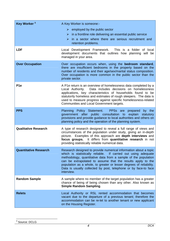| Key Worker <sup>3</sup>      | A Key Worker is someone:-<br>$\triangleright$ employed by the public sector<br>in a frontline role delivering an essential public service<br>➤<br>in a sector where there are serious recruitment and<br>≻<br>retention problems.                                                                                                                                                                                              |
|------------------------------|--------------------------------------------------------------------------------------------------------------------------------------------------------------------------------------------------------------------------------------------------------------------------------------------------------------------------------------------------------------------------------------------------------------------------------|
| <b>LDF</b>                   | Local Development Framework. This is a folder of local<br>development documents that outlines how planning will be<br>managed in your area.                                                                                                                                                                                                                                                                                    |
| <b>Over Occupation</b>       | Over occupation occurs when, using the bedroom standard,<br>there are insufficient bedrooms in the property based on the<br>number of residents and their age/sex/marital status composition.<br>Over occupation is more common in the public sector than the<br>private sector.                                                                                                                                               |
| P <sub>1e</sub>              | A P1e return is an overview of homelessness data completed by a<br>Data includes decisions on homelessness<br>Local Authority.<br>applications, key characteristics of households found to be<br>statutorily homeless and estimates of rough sleepers. The data is<br>used to measure progress against specific homelessness-related<br>Communities and Local Government targets.                                              |
| <b>PPS</b>                   | Planning Policy Statement. PPSs are<br>by the<br>prepared<br>government after public consultation to explain statutory<br>provisions and provide guidance to local authorities and others on<br>planning policy and the operation of the planning system.                                                                                                                                                                      |
| <b>Qualitative Research</b>  | A type of research designed to reveal a full range of views and<br>circumstances of the population under study, giving an in-depth<br>picture. Examples of this approach are depth interviews and<br>focus groups. It differs from quantitative research in not<br>providing statistically reliable numerical data.                                                                                                            |
| <b>Quantitative Research</b> | Research designed to provide numerical information about a topic<br>which is statistically reliable.<br>If carried out using adequate<br>methodology, quantitative data from a sample of the population<br>can be extrapolated to assume that the results apply to the<br>population as a whole, to greater or lesser degrees of reliability.<br>Data is usually collected by post, telephone or by face-to face<br>interview. |
| <b>Random Sample</b>         | A sample where no member of the target population has a greater<br>chance of being of being chosen than any other. Also known as<br><b>Simple Random Sampling.</b>                                                                                                                                                                                                                                                             |
| <b>Relets</b>                | Local Authority or RSL rented accommodation that becomes<br>vacant due to the departure of a previous tenant; therefore the<br>accommodation can be re-let to another tenant or new applicant<br>on the Housing Register.                                                                                                                                                                                                      |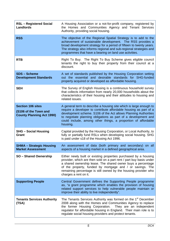| <b>RSL-Registered Social</b><br><b>Landlords</b>                                      | A Housing Association or a not-for-profit company, registered by<br>the Homes and Communities Agency and Tenant Services<br>Authority, providing social housing.                                                                                                                                                                                                 |
|---------------------------------------------------------------------------------------|------------------------------------------------------------------------------------------------------------------------------------------------------------------------------------------------------------------------------------------------------------------------------------------------------------------------------------------------------------------|
| <b>RSS</b>                                                                            | The objective of the Regional Spatial Strategy is to add to the<br>achievement of sustainable development. The RSS provides a<br>broad development strategy for a period of fifteen to twenty years.<br>The strategy also informs regional and sub-regional strategies and<br>programmes that have a bearing on land use activities.                             |
| <b>RTB</b>                                                                            | Right To Buy. The Right To Buy Scheme gives eligible council<br>tenants the right to buy their property from their council at a<br>discount.                                                                                                                                                                                                                     |
| <b>SDS-Scheme</b><br><b>Development Standards</b>                                     | A set of standards published by the Housing Corporation setting<br>out the essential and desirable standards for SHG-funded<br>property acquired or developed as affordable housing.                                                                                                                                                                             |
| <b>SEH</b>                                                                            | The Survey of English Housing is a continuous household survey<br>that collects information from nearly 20,000 households about the<br>characteristics of their housing and their attitudes to housing and<br>related issues.                                                                                                                                    |
| <b>Section 106 sites</b><br>(S106 of the Town and<br><b>County Planning Act 1990)</b> | A general term to describe a housing site which is large enough to<br>require a developer to contribute affordable housing as part of a<br>development scheme. S106 of the Act allows Planning Authorities<br>to negotiate planning obligations as part of a development and<br>could include, among other things, a proportion of affordable<br>housing.        |
| <b>SHG - Social Housing</b><br>Grant                                                  | Capital provided by the Housing Corporation, or Local Authority, to<br>fully or partially fund RSLs when developing social housing. SHG<br>is paid under s18 of the Housing Act 1996.                                                                                                                                                                            |
| <b>SHMA - Strategic Housing</b><br><b>Market Assessment</b>                           | An assessment of data (both primary and secondary) on all<br>aspects of a housing market in a defined geographical area.                                                                                                                                                                                                                                         |
| <b>SO-Shared Ownership</b>                                                            | Either newly built or existing properties purchased by a housing<br>provider, which are then sold on a part rent / part buy basis under<br>a shared ownership lease. The shared owner buys a percentage<br>of the property, funded by mortgage and / or savings. The<br>remaining percentage is still owned by the housing provider who<br>charges a rent on it. |
| <b>Supporting People</b>                                                              | Central Government defines the Supporting People programme<br>as, "a grant programme which enables the provision of housing<br>related support services to help vulnerable people maintain or<br>improve their ability to live independently".                                                                                                                   |
| <b>Tenants Services Authority</b><br>(TSA)                                            | The Tenants Services Authority was formed on the 1 <sup>st</sup> December<br>2008 along with the Homes and Communities Agency to replace<br>the former Housing Corporation.<br>They are an independent<br>regulator for affordable housing in England. Their main role is to<br>regulate social housing providers and protect tenants.                           |